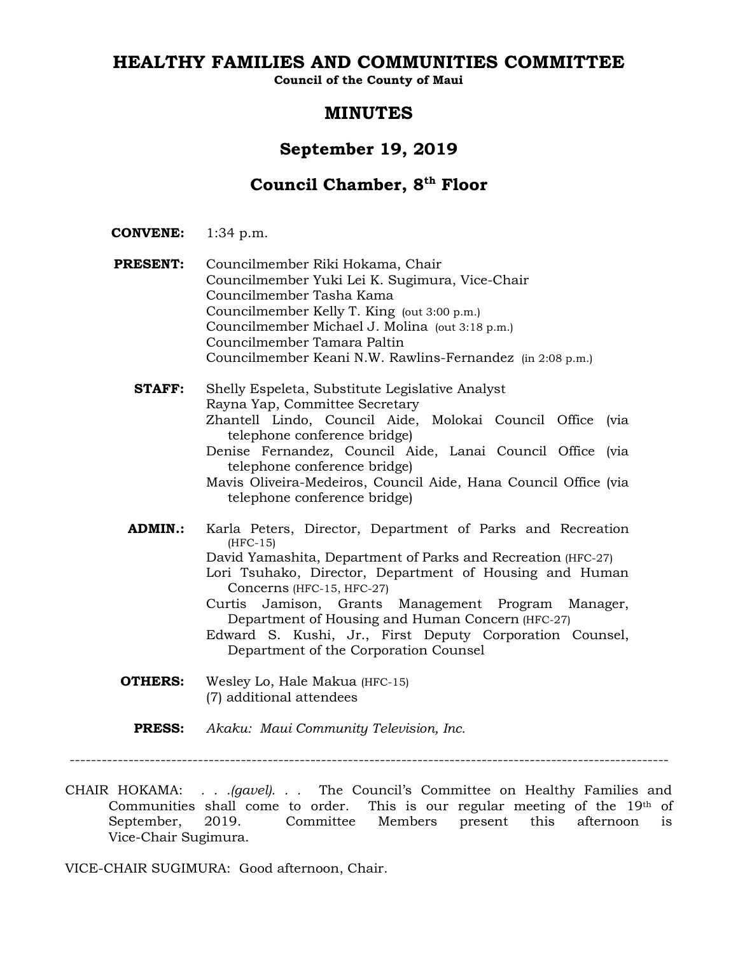# **HEALTHY FAMILIES AND COMMUNITIES COMMITTEE**

**Council of the County of Maui**

# **MINUTES**

# **September 19, 2019**

# **Council Chamber, 8th Floor**

- **CONVENE:** 1:34 p.m.
- Councilmember Kelly T. King (out 3:00 p.m.) **PRESENT:** Councilmember Riki Hokama, Chair Councilmember Yuki Lei K. Sugimura, Vice-Chair Councilmember Tasha Kama Councilmember Michael J. Molina (out 3:18 p.m.) Councilmember Tamara Paltin Councilmember Keani N.W. Rawlins-Fernandez (in 2:08 p.m.)

**STAFF:** Shelly Espeleta, Substitute Legislative Analyst Rayna Yap, Committee Secretary Zhantell Lindo, Council Aide, Molokai Council Office (via telephone conference bridge) Denise Fernandez, Council Aide, Lanai Council Office (via telephone conference bridge) Mavis Oliveira-Medeiros, Council Aide, Hana Council Office (via telephone conference bridge)

- **ADMIN.:** Karla Peters, Director, Department of Parks and Recreation (HFC-15)
	- David Yamashita, Department of Parks and Recreation (HFC-27)
	- Lori Tsuhako, Director, Department of Housing and Human Concerns (HFC-15, HFC-27)
	- Curtis Jamison, Grants Management Program Manager, Department of Housing and Human Concern (HFC-27)
	- Edward S. Kushi, Jr., First Deputy Corporation Counsel, Department of the Corporation Counsel
- **OTHERS:** Wesley Lo, Hale Makua (HFC-15) (7) additional attendees
	- **PRESS:** *Akaku: Maui Community Television, Inc.*

CHAIR HOKAMA: *. . .(gavel). . .* The Council's Committee on Healthy Families and Communities shall come to order. This is our regular meeting of the  $19<sup>th</sup>$  of September, 2019. Committee Members present this afternoon is Vice-Chair Sugimura.

VICE-CHAIR SUGIMURA: Good afternoon, Chair.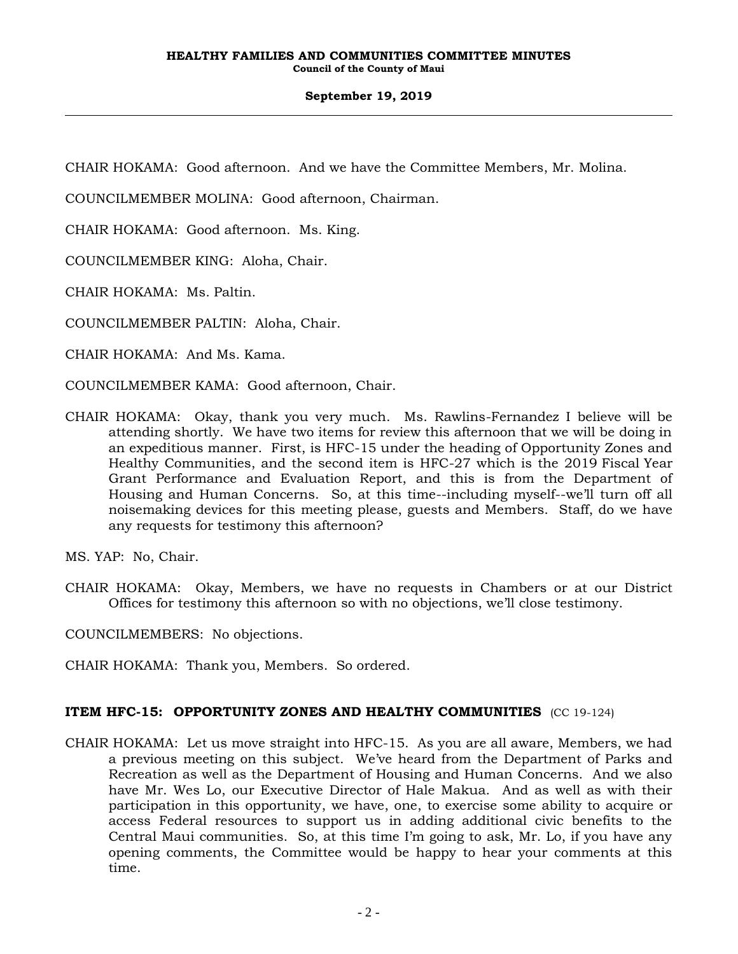CHAIR HOKAMA: Good afternoon. And we have the Committee Members, Mr. Molina.

COUNCILMEMBER MOLINA: Good afternoon, Chairman.

CHAIR HOKAMA: Good afternoon. Ms. King.

COUNCILMEMBER KING: Aloha, Chair.

CHAIR HOKAMA: Ms. Paltin.

COUNCILMEMBER PALTIN: Aloha, Chair.

CHAIR HOKAMA: And Ms. Kama.

COUNCILMEMBER KAMA: Good afternoon, Chair.

CHAIR HOKAMA: Okay, thank you very much. Ms. Rawlins-Fernandez I believe will be attending shortly. We have two items for review this afternoon that we will be doing in an expeditious manner. First, is HFC-15 under the heading of Opportunity Zones and Healthy Communities, and the second item is HFC-27 which is the 2019 Fiscal Year Grant Performance and Evaluation Report, and this is from the Department of Housing and Human Concerns. So, at this time--including myself--we'll turn off all noisemaking devices for this meeting please, guests and Members. Staff, do we have any requests for testimony this afternoon?

MS. YAP: No, Chair.

CHAIR HOKAMA: Okay, Members, we have no requests in Chambers or at our District Offices for testimony this afternoon so with no objections, we'll close testimony.

COUNCILMEMBERS: No objections.

CHAIR HOKAMA: Thank you, Members. So ordered.

### **ITEM HFC-15: OPPORTUNITY ZONES AND HEALTHY COMMUNITIES** (CC 19-124)

CHAIR HOKAMA: Let us move straight into HFC-15. As you are all aware, Members, we had a previous meeting on this subject. We've heard from the Department of Parks and Recreation as well as the Department of Housing and Human Concerns. And we also have Mr. Wes Lo, our Executive Director of Hale Makua. And as well as with their participation in this opportunity, we have, one, to exercise some ability to acquire or access Federal resources to support us in adding additional civic benefits to the Central Maui communities. So, at this time I'm going to ask, Mr. Lo, if you have any opening comments, the Committee would be happy to hear your comments at this time.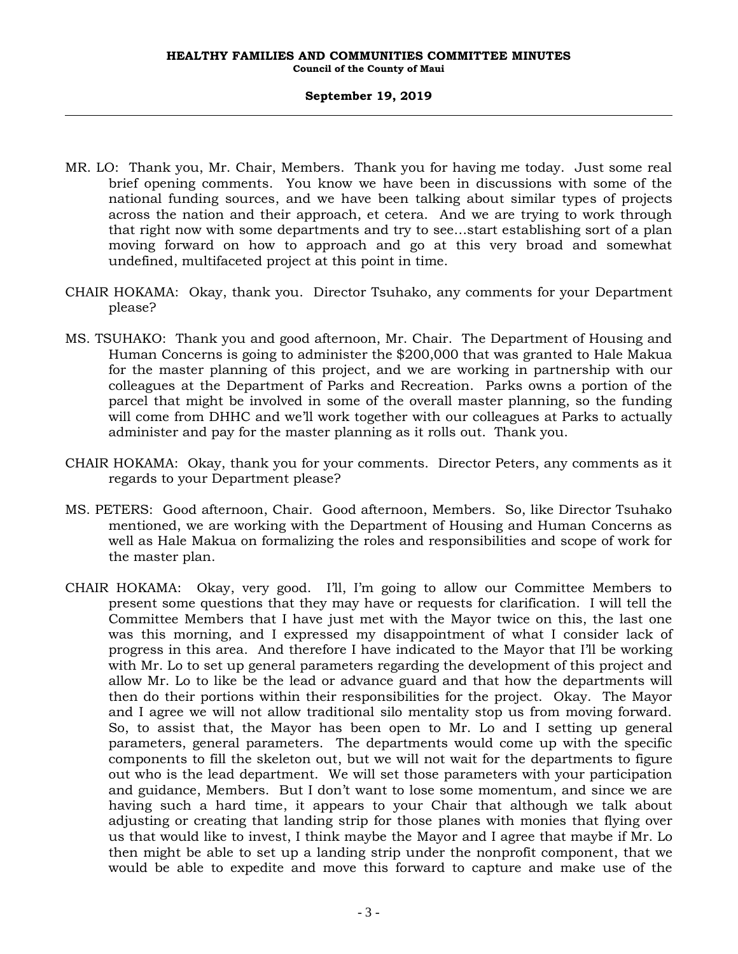- MR. LO: Thank you, Mr. Chair, Members. Thank you for having me today. Just some real brief opening comments. You know we have been in discussions with some of the national funding sources, and we have been talking about similar types of projects across the nation and their approach, et cetera. And we are trying to work through that right now with some departments and try to see…start establishing sort of a plan moving forward on how to approach and go at this very broad and somewhat undefined, multifaceted project at this point in time.
- CHAIR HOKAMA: Okay, thank you. Director Tsuhako, any comments for your Department please?
- MS. TSUHAKO: Thank you and good afternoon, Mr. Chair. The Department of Housing and Human Concerns is going to administer the \$200,000 that was granted to Hale Makua for the master planning of this project, and we are working in partnership with our colleagues at the Department of Parks and Recreation. Parks owns a portion of the parcel that might be involved in some of the overall master planning, so the funding will come from DHHC and we'll work together with our colleagues at Parks to actually administer and pay for the master planning as it rolls out. Thank you.
- CHAIR HOKAMA: Okay, thank you for your comments. Director Peters, any comments as it regards to your Department please?
- MS. PETERS: Good afternoon, Chair. Good afternoon, Members. So, like Director Tsuhako mentioned, we are working with the Department of Housing and Human Concerns as well as Hale Makua on formalizing the roles and responsibilities and scope of work for the master plan.
- CHAIR HOKAMA: Okay, very good. I'll, I'm going to allow our Committee Members to present some questions that they may have or requests for clarification. I will tell the Committee Members that I have just met with the Mayor twice on this, the last one was this morning, and I expressed my disappointment of what I consider lack of progress in this area. And therefore I have indicated to the Mayor that I'll be working with Mr. Lo to set up general parameters regarding the development of this project and allow Mr. Lo to like be the lead or advance guard and that how the departments will then do their portions within their responsibilities for the project. Okay. The Mayor and I agree we will not allow traditional silo mentality stop us from moving forward. So, to assist that, the Mayor has been open to Mr. Lo and I setting up general parameters, general parameters. The departments would come up with the specific components to fill the skeleton out, but we will not wait for the departments to figure out who is the lead department. We will set those parameters with your participation and guidance, Members. But I don't want to lose some momentum, and since we are having such a hard time, it appears to your Chair that although we talk about adjusting or creating that landing strip for those planes with monies that flying over us that would like to invest, I think maybe the Mayor and I agree that maybe if Mr. Lo then might be able to set up a landing strip under the nonprofit component, that we would be able to expedite and move this forward to capture and make use of the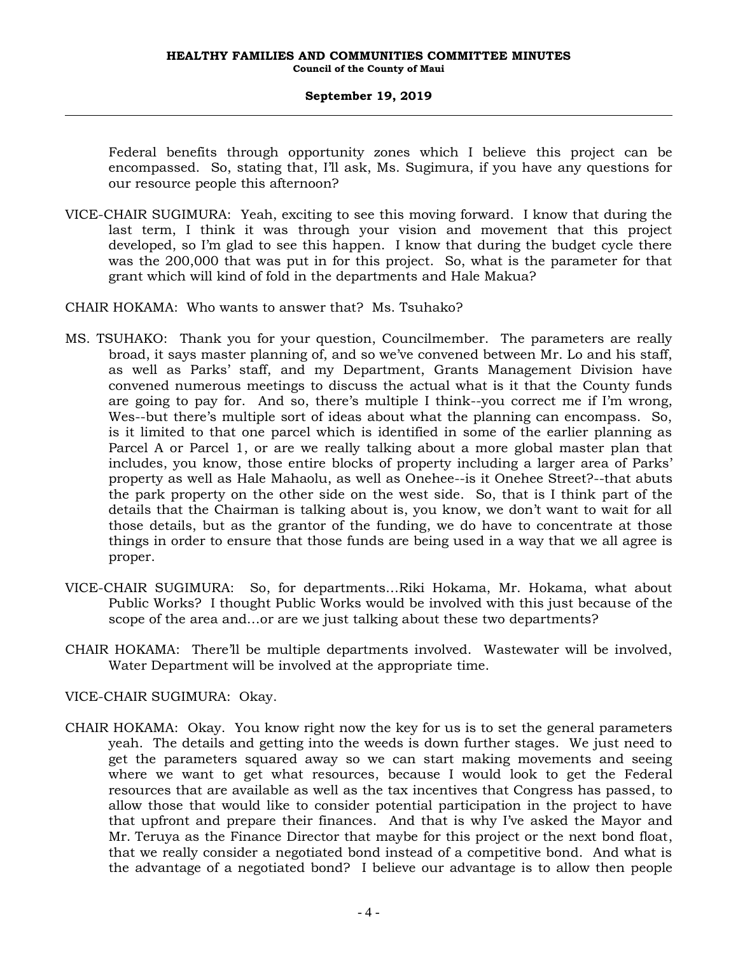Federal benefits through opportunity zones which I believe this project can be encompassed. So, stating that, I'll ask, Ms. Sugimura, if you have any questions for our resource people this afternoon?

- VICE-CHAIR SUGIMURA: Yeah, exciting to see this moving forward. I know that during the last term, I think it was through your vision and movement that this project developed, so I'm glad to see this happen. I know that during the budget cycle there was the 200,000 that was put in for this project. So, what is the parameter for that grant which will kind of fold in the departments and Hale Makua?
- CHAIR HOKAMA: Who wants to answer that? Ms. Tsuhako?
- MS. TSUHAKO: Thank you for your question, Councilmember. The parameters are really broad, it says master planning of, and so we've convened between Mr. Lo and his staff, as well as Parks' staff, and my Department, Grants Management Division have convened numerous meetings to discuss the actual what is it that the County funds are going to pay for. And so, there's multiple I think--you correct me if I'm wrong, Wes--but there's multiple sort of ideas about what the planning can encompass. So, is it limited to that one parcel which is identified in some of the earlier planning as Parcel A or Parcel 1, or are we really talking about a more global master plan that includes, you know, those entire blocks of property including a larger area of Parks' property as well as Hale Mahaolu, as well as Onehee--is it Onehee Street?--that abuts the park property on the other side on the west side. So, that is I think part of the details that the Chairman is talking about is, you know, we don't want to wait for all those details, but as the grantor of the funding, we do have to concentrate at those things in order to ensure that those funds are being used in a way that we all agree is proper.
- VICE-CHAIR SUGIMURA: So, for departments…Riki Hokama, Mr. Hokama, what about Public Works? I thought Public Works would be involved with this just because of the scope of the area and…or are we just talking about these two departments?
- CHAIR HOKAMA: There'll be multiple departments involved. Wastewater will be involved, Water Department will be involved at the appropriate time.

VICE-CHAIR SUGIMURA: Okay.

CHAIR HOKAMA: Okay. You know right now the key for us is to set the general parameters yeah. The details and getting into the weeds is down further stages. We just need to get the parameters squared away so we can start making movements and seeing where we want to get what resources, because I would look to get the Federal resources that are available as well as the tax incentives that Congress has passed, to allow those that would like to consider potential participation in the project to have that upfront and prepare their finances. And that is why I've asked the Mayor and Mr. Teruya as the Finance Director that maybe for this project or the next bond float, that we really consider a negotiated bond instead of a competitive bond. And what is the advantage of a negotiated bond? I believe our advantage is to allow then people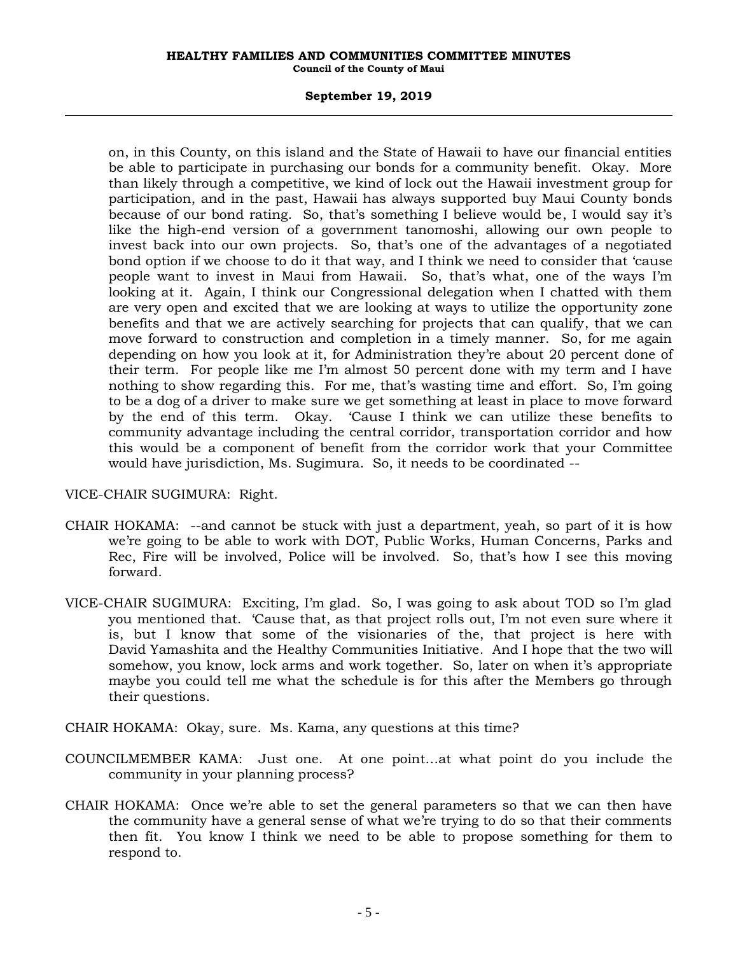#### **September 19, 2019**

on, in this County, on this island and the State of Hawaii to have our financial entities be able to participate in purchasing our bonds for a community benefit. Okay. More than likely through a competitive, we kind of lock out the Hawaii investment group for participation, and in the past, Hawaii has always supported buy Maui County bonds because of our bond rating. So, that's something I believe would be, I would say it's like the high-end version of a government tanomoshi, allowing our own people to invest back into our own projects. So, that's one of the advantages of a negotiated bond option if we choose to do it that way, and I think we need to consider that 'cause people want to invest in Maui from Hawaii. So, that's what, one of the ways I'm looking at it. Again, I think our Congressional delegation when I chatted with them are very open and excited that we are looking at ways to utilize the opportunity zone benefits and that we are actively searching for projects that can qualify, that we can move forward to construction and completion in a timely manner. So, for me again depending on how you look at it, for Administration they're about 20 percent done of their term. For people like me I'm almost 50 percent done with my term and I have nothing to show regarding this. For me, that's wasting time and effort. So, I'm going to be a dog of a driver to make sure we get something at least in place to move forward by the end of this term. Okay. 'Cause I think we can utilize these benefits to community advantage including the central corridor, transportation corridor and how this would be a component of benefit from the corridor work that your Committee would have jurisdiction, Ms. Sugimura. So, it needs to be coordinated --

### VICE-CHAIR SUGIMURA: Right.

- CHAIR HOKAMA: --and cannot be stuck with just a department, yeah, so part of it is how we're going to be able to work with DOT, Public Works, Human Concerns, Parks and Rec, Fire will be involved, Police will be involved. So, that's how I see this moving forward.
- VICE-CHAIR SUGIMURA: Exciting, I'm glad. So, I was going to ask about TOD so I'm glad you mentioned that. 'Cause that, as that project rolls out, I'm not even sure where it is, but I know that some of the visionaries of the, that project is here with David Yamashita and the Healthy Communities Initiative. And I hope that the two will somehow, you know, lock arms and work together. So, later on when it's appropriate maybe you could tell me what the schedule is for this after the Members go through their questions.
- CHAIR HOKAMA: Okay, sure. Ms. Kama, any questions at this time?
- COUNCILMEMBER KAMA: Just one. At one point…at what point do you include the community in your planning process?
- CHAIR HOKAMA: Once we're able to set the general parameters so that we can then have the community have a general sense of what we're trying to do so that their comments then fit. You know I think we need to be able to propose something for them to respond to.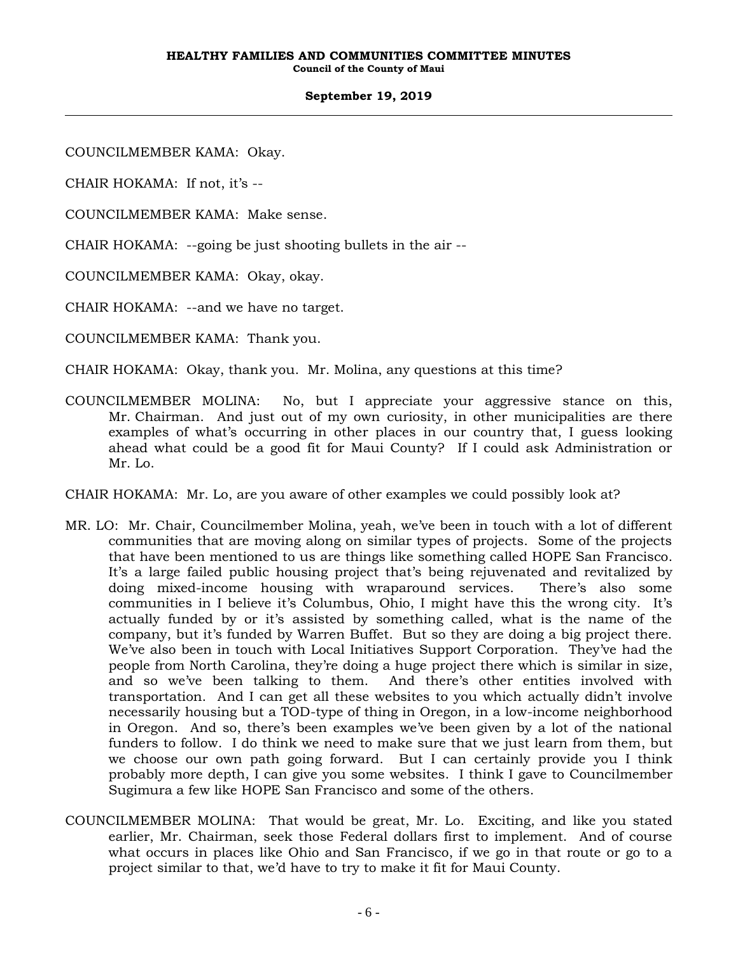COUNCILMEMBER KAMA: Okay.

CHAIR HOKAMA: If not, it's --

COUNCILMEMBER KAMA: Make sense.

CHAIR HOKAMA: --going be just shooting bullets in the air --

COUNCILMEMBER KAMA: Okay, okay.

CHAIR HOKAMA: --and we have no target.

COUNCILMEMBER KAMA: Thank you.

CHAIR HOKAMA: Okay, thank you. Mr. Molina, any questions at this time?

COUNCILMEMBER MOLINA: No, but I appreciate your aggressive stance on this, Mr. Chairman. And just out of my own curiosity, in other municipalities are there examples of what's occurring in other places in our country that, I guess looking ahead what could be a good fit for Maui County? If I could ask Administration or Mr. Lo.

CHAIR HOKAMA: Mr. Lo, are you aware of other examples we could possibly look at?

- MR. LO: Mr. Chair, Councilmember Molina, yeah, we've been in touch with a lot of different communities that are moving along on similar types of projects. Some of the projects that have been mentioned to us are things like something called HOPE San Francisco. It's a large failed public housing project that's being rejuvenated and revitalized by doing mixed-income housing with wraparound services. There's also some communities in I believe it's Columbus, Ohio, I might have this the wrong city. It's actually funded by or it's assisted by something called, what is the name of the company, but it's funded by Warren Buffet. But so they are doing a big project there. We've also been in touch with Local Initiatives Support Corporation. They've had the people from North Carolina, they're doing a huge project there which is similar in size, and so we've been talking to them. And there's other entities involved with transportation. And I can get all these websites to you which actually didn't involve necessarily housing but a TOD-type of thing in Oregon, in a low-income neighborhood in Oregon. And so, there's been examples we've been given by a lot of the national funders to follow. I do think we need to make sure that we just learn from them, but we choose our own path going forward. But I can certainly provide you I think probably more depth, I can give you some websites. I think I gave to Councilmember Sugimura a few like HOPE San Francisco and some of the others.
- COUNCILMEMBER MOLINA: That would be great, Mr. Lo. Exciting, and like you stated earlier, Mr. Chairman, seek those Federal dollars first to implement. And of course what occurs in places like Ohio and San Francisco, if we go in that route or go to a project similar to that, we'd have to try to make it fit for Maui County.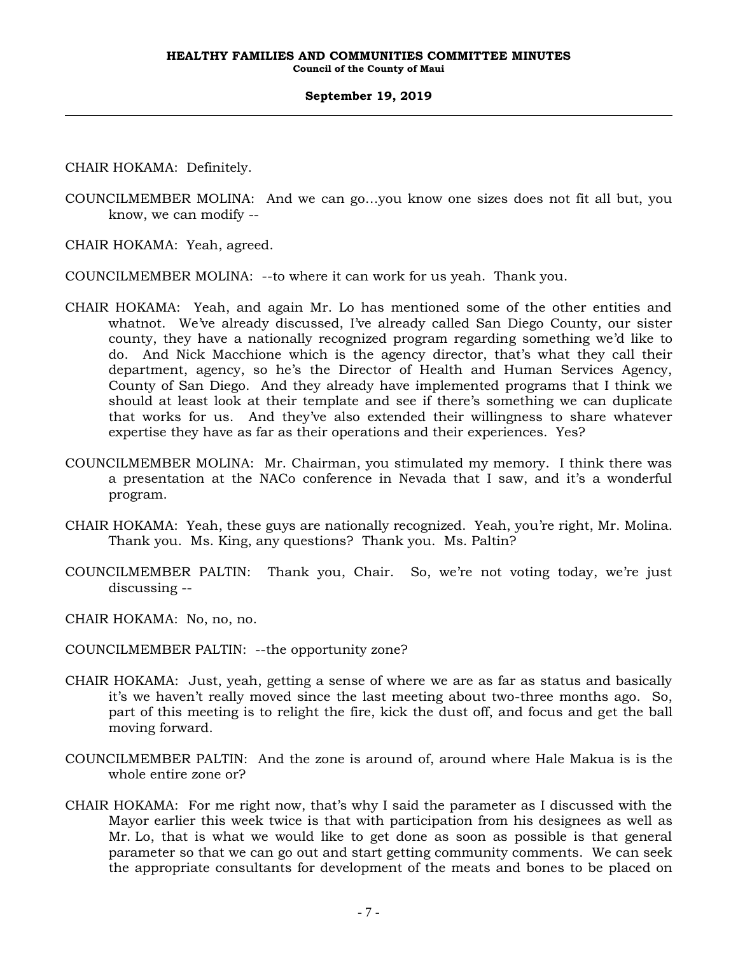CHAIR HOKAMA: Definitely.

COUNCILMEMBER MOLINA: And we can go…you know one sizes does not fit all but, you know, we can modify --

CHAIR HOKAMA: Yeah, agreed.

COUNCILMEMBER MOLINA: --to where it can work for us yeah. Thank you.

- CHAIR HOKAMA: Yeah, and again Mr. Lo has mentioned some of the other entities and whatnot. We've already discussed, I've already called San Diego County, our sister county, they have a nationally recognized program regarding something we'd like to do. And Nick Macchione which is the agency director, that's what they call their department, agency, so he's the Director of Health and Human Services Agency, County of San Diego. And they already have implemented programs that I think we should at least look at their template and see if there's something we can duplicate that works for us. And they've also extended their willingness to share whatever expertise they have as far as their operations and their experiences. Yes?
- COUNCILMEMBER MOLINA: Mr. Chairman, you stimulated my memory. I think there was a presentation at the NACo conference in Nevada that I saw, and it's a wonderful program.
- CHAIR HOKAMA: Yeah, these guys are nationally recognized. Yeah, you're right, Mr. Molina. Thank you. Ms. King, any questions? Thank you. Ms. Paltin?
- COUNCILMEMBER PALTIN: Thank you, Chair. So, we're not voting today, we're just discussing --
- CHAIR HOKAMA: No, no, no.
- COUNCILMEMBER PALTIN: --the opportunity zone?
- CHAIR HOKAMA: Just, yeah, getting a sense of where we are as far as status and basically it's we haven't really moved since the last meeting about two-three months ago. So, part of this meeting is to relight the fire, kick the dust off, and focus and get the ball moving forward.
- COUNCILMEMBER PALTIN: And the zone is around of, around where Hale Makua is is the whole entire zone or?
- CHAIR HOKAMA: For me right now, that's why I said the parameter as I discussed with the Mayor earlier this week twice is that with participation from his designees as well as Mr. Lo, that is what we would like to get done as soon as possible is that general parameter so that we can go out and start getting community comments. We can seek the appropriate consultants for development of the meats and bones to be placed on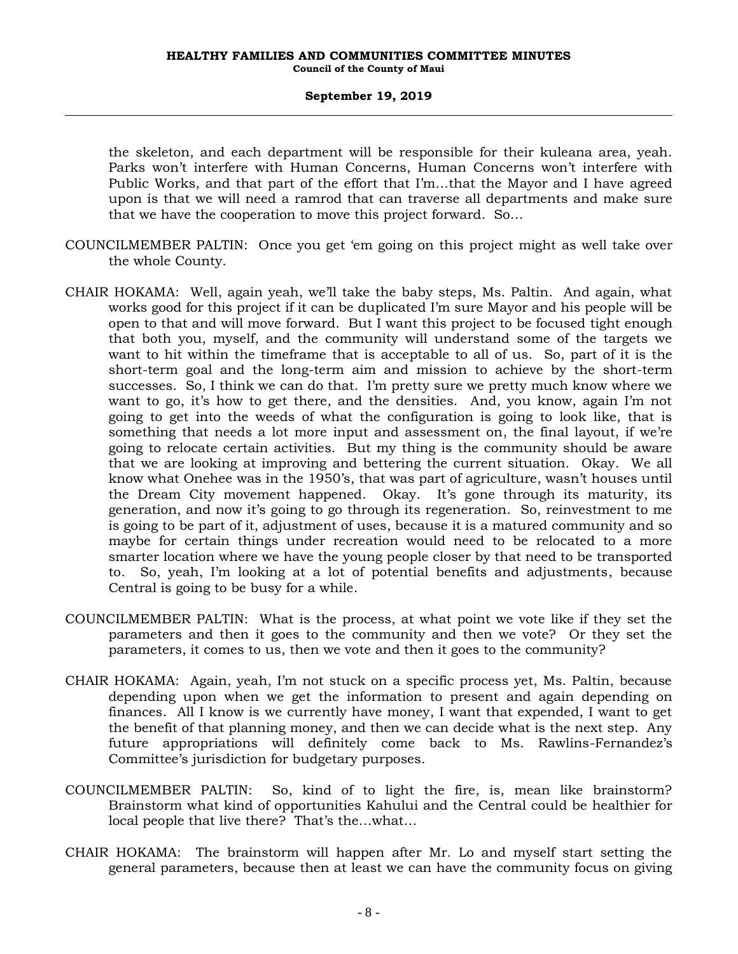the skeleton, and each department will be responsible for their kuleana area, yeah. Parks won't interfere with Human Concerns, Human Concerns won't interfere with Public Works, and that part of the effort that I'm…that the Mayor and I have agreed upon is that we will need a ramrod that can traverse all departments and make sure that we have the cooperation to move this project forward. So…

- COUNCILMEMBER PALTIN: Once you get 'em going on this project might as well take over the whole County.
- CHAIR HOKAMA: Well, again yeah, we'll take the baby steps, Ms. Paltin. And again, what works good for this project if it can be duplicated I'm sure Mayor and his people will be open to that and will move forward. But I want this project to be focused tight enough that both you, myself, and the community will understand some of the targets we want to hit within the timeframe that is acceptable to all of us. So, part of it is the short-term goal and the long-term aim and mission to achieve by the short-term successes. So, I think we can do that. I'm pretty sure we pretty much know where we want to go, it's how to get there, and the densities. And, you know, again I'm not going to get into the weeds of what the configuration is going to look like, that is something that needs a lot more input and assessment on, the final layout, if we're going to relocate certain activities. But my thing is the community should be aware that we are looking at improving and bettering the current situation. Okay. We all know what Onehee was in the 1950's, that was part of agriculture, wasn't houses until the Dream City movement happened. Okay. It's gone through its maturity, its generation, and now it's going to go through its regeneration. So, reinvestment to me is going to be part of it, adjustment of uses, because it is a matured community and so maybe for certain things under recreation would need to be relocated to a more smarter location where we have the young people closer by that need to be transported to. So, yeah, I'm looking at a lot of potential benefits and adjustments, because Central is going to be busy for a while.
- COUNCILMEMBER PALTIN: What is the process, at what point we vote like if they set the parameters and then it goes to the community and then we vote? Or they set the parameters, it comes to us, then we vote and then it goes to the community?
- CHAIR HOKAMA: Again, yeah, I'm not stuck on a specific process yet, Ms. Paltin, because depending upon when we get the information to present and again depending on finances. All I know is we currently have money, I want that expended, I want to get the benefit of that planning money, and then we can decide what is the next step. Any future appropriations will definitely come back to Ms. Rawlins-Fernandez's Committee's jurisdiction for budgetary purposes.
- COUNCILMEMBER PALTIN: So, kind of to light the fire, is, mean like brainstorm? Brainstorm what kind of opportunities Kahului and the Central could be healthier for local people that live there? That's the…what…
- CHAIR HOKAMA: The brainstorm will happen after Mr. Lo and myself start setting the general parameters, because then at least we can have the community focus on giving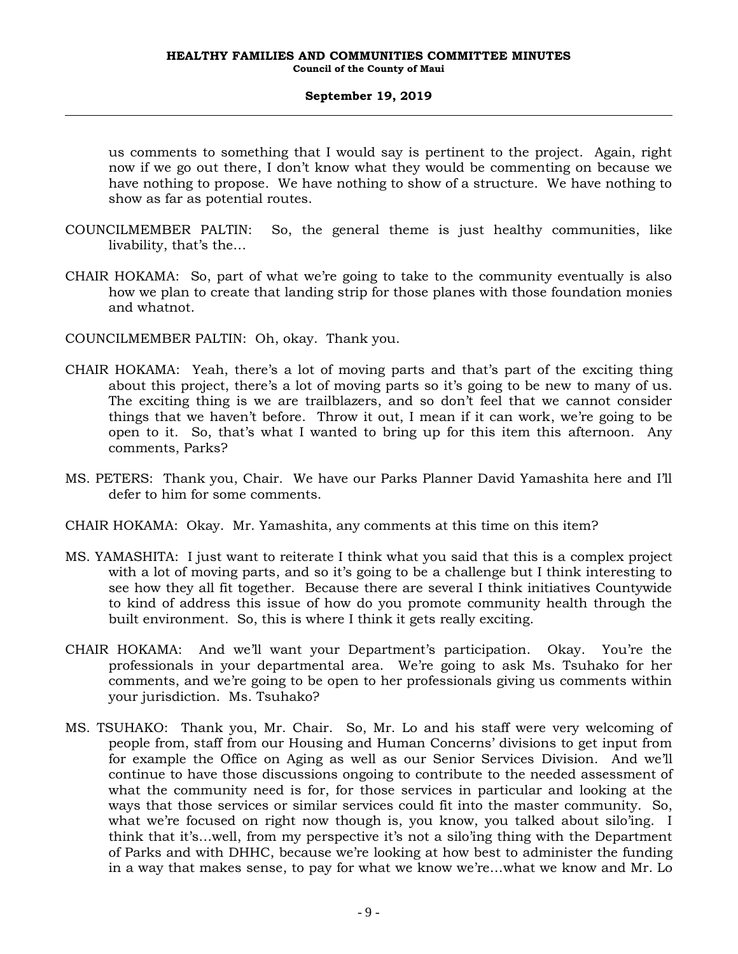us comments to something that I would say is pertinent to the project. Again, right now if we go out there, I don't know what they would be commenting on because we have nothing to propose. We have nothing to show of a structure. We have nothing to show as far as potential routes.

- COUNCILMEMBER PALTIN: So, the general theme is just healthy communities, like livability, that's the…
- CHAIR HOKAMA: So, part of what we're going to take to the community eventually is also how we plan to create that landing strip for those planes with those foundation monies and whatnot.

COUNCILMEMBER PALTIN: Oh, okay. Thank you.

- CHAIR HOKAMA: Yeah, there's a lot of moving parts and that's part of the exciting thing about this project, there's a lot of moving parts so it's going to be new to many of us. The exciting thing is we are trailblazers, and so don't feel that we cannot consider things that we haven't before. Throw it out, I mean if it can work, we're going to be open to it. So, that's what I wanted to bring up for this item this afternoon. Any comments, Parks?
- MS. PETERS: Thank you, Chair. We have our Parks Planner David Yamashita here and I'll defer to him for some comments.
- CHAIR HOKAMA: Okay. Mr. Yamashita, any comments at this time on this item?
- MS. YAMASHITA: I just want to reiterate I think what you said that this is a complex project with a lot of moving parts, and so it's going to be a challenge but I think interesting to see how they all fit together. Because there are several I think initiatives Countywide to kind of address this issue of how do you promote community health through the built environment. So, this is where I think it gets really exciting.
- CHAIR HOKAMA: And we'll want your Department's participation. Okay. You're the professionals in your departmental area. We're going to ask Ms. Tsuhako for her comments, and we're going to be open to her professionals giving us comments within your jurisdiction. Ms. Tsuhako?
- MS. TSUHAKO: Thank you, Mr. Chair. So, Mr. Lo and his staff were very welcoming of people from, staff from our Housing and Human Concerns' divisions to get input from for example the Office on Aging as well as our Senior Services Division. And we'll continue to have those discussions ongoing to contribute to the needed assessment of what the community need is for, for those services in particular and looking at the ways that those services or similar services could fit into the master community. So, what we're focused on right now though is, you know, you talked about silo'ing. I think that it's…well, from my perspective it's not a silo'ing thing with the Department of Parks and with DHHC, because we're looking at how best to administer the funding in a way that makes sense, to pay for what we know we're…what we know and Mr. Lo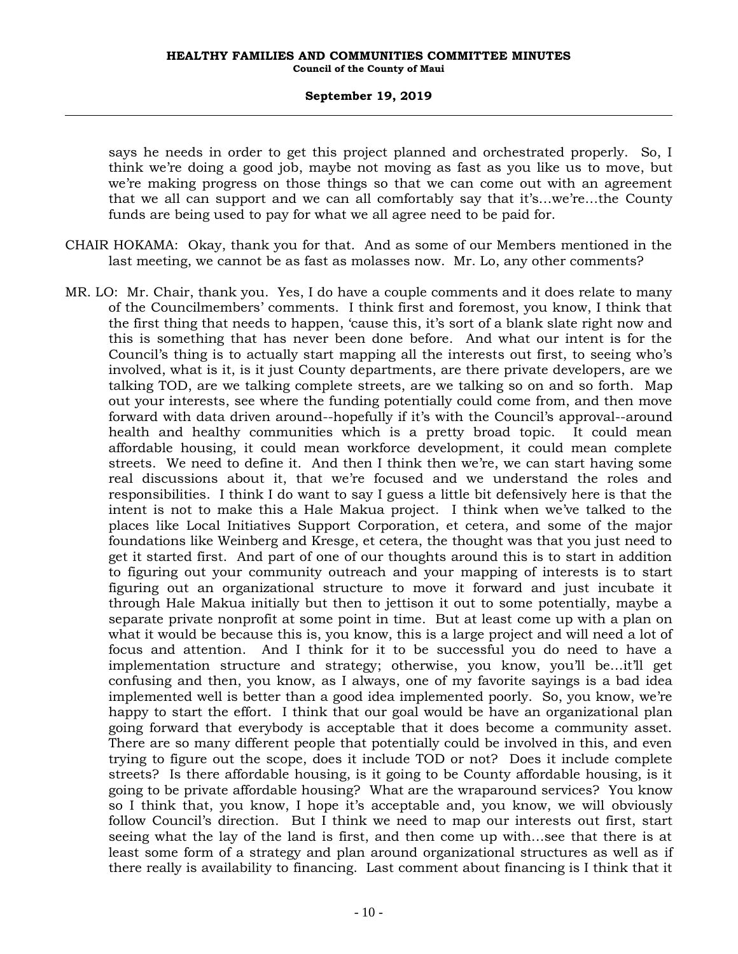says he needs in order to get this project planned and orchestrated properly. So, I think we're doing a good job, maybe not moving as fast as you like us to move, but we're making progress on those things so that we can come out with an agreement that we all can support and we can all comfortably say that it's…we're…the County funds are being used to pay for what we all agree need to be paid for.

- CHAIR HOKAMA: Okay, thank you for that. And as some of our Members mentioned in the last meeting, we cannot be as fast as molasses now. Mr. Lo, any other comments?
- MR. LO: Mr. Chair, thank you. Yes, I do have a couple comments and it does relate to many of the Councilmembers' comments. I think first and foremost, you know, I think that the first thing that needs to happen, 'cause this, it's sort of a blank slate right now and this is something that has never been done before. And what our intent is for the Council's thing is to actually start mapping all the interests out first, to seeing who's involved, what is it, is it just County departments, are there private developers, are we talking TOD, are we talking complete streets, are we talking so on and so forth. Map out your interests, see where the funding potentially could come from, and then move forward with data driven around--hopefully if it's with the Council's approval--around health and healthy communities which is a pretty broad topic. It could mean affordable housing, it could mean workforce development, it could mean complete streets. We need to define it. And then I think then we're, we can start having some real discussions about it, that we're focused and we understand the roles and responsibilities. I think I do want to say I guess a little bit defensively here is that the intent is not to make this a Hale Makua project. I think when we've talked to the places like Local Initiatives Support Corporation, et cetera, and some of the major foundations like Weinberg and Kresge, et cetera, the thought was that you just need to get it started first. And part of one of our thoughts around this is to start in addition to figuring out your community outreach and your mapping of interests is to start figuring out an organizational structure to move it forward and just incubate it through Hale Makua initially but then to jettison it out to some potentially, maybe a separate private nonprofit at some point in time. But at least come up with a plan on what it would be because this is, you know, this is a large project and will need a lot of focus and attention. And I think for it to be successful you do need to have a implementation structure and strategy; otherwise, you know, you'll be…it'll get confusing and then, you know, as I always, one of my favorite sayings is a bad idea implemented well is better than a good idea implemented poorly. So, you know, we're happy to start the effort. I think that our goal would be have an organizational plan going forward that everybody is acceptable that it does become a community asset. There are so many different people that potentially could be involved in this, and even trying to figure out the scope, does it include TOD or not? Does it include complete streets? Is there affordable housing, is it going to be County affordable housing, is it going to be private affordable housing? What are the wraparound services? You know so I think that, you know, I hope it's acceptable and, you know, we will obviously follow Council's direction. But I think we need to map our interests out first, start seeing what the lay of the land is first, and then come up with…see that there is at least some form of a strategy and plan around organizational structures as well as if there really is availability to financing. Last comment about financing is I think that it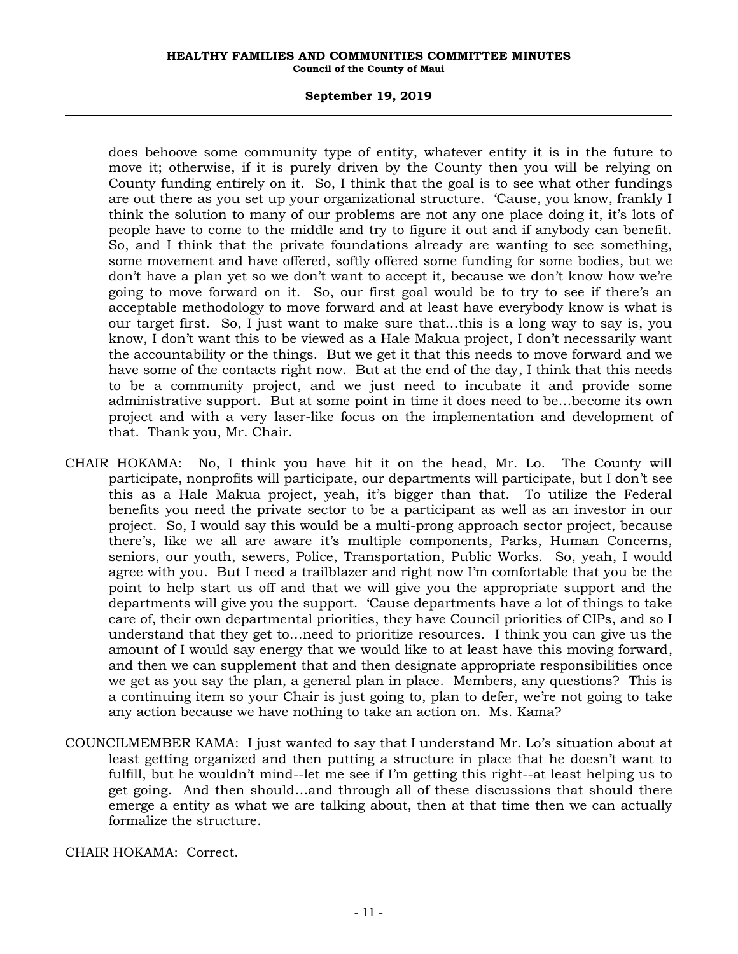#### **September 19, 2019**

does behoove some community type of entity, whatever entity it is in the future to move it; otherwise, if it is purely driven by the County then you will be relying on County funding entirely on it. So, I think that the goal is to see what other fundings are out there as you set up your organizational structure. 'Cause, you know, frankly I think the solution to many of our problems are not any one place doing it, it's lots of people have to come to the middle and try to figure it out and if anybody can benefit. So, and I think that the private foundations already are wanting to see something, some movement and have offered, softly offered some funding for some bodies, but we don't have a plan yet so we don't want to accept it, because we don't know how we're going to move forward on it. So, our first goal would be to try to see if there's an acceptable methodology to move forward and at least have everybody know is what is our target first. So, I just want to make sure that…this is a long way to say is, you know, I don't want this to be viewed as a Hale Makua project, I don't necessarily want the accountability or the things. But we get it that this needs to move forward and we have some of the contacts right now. But at the end of the day, I think that this needs to be a community project, and we just need to incubate it and provide some administrative support. But at some point in time it does need to be…become its own project and with a very laser-like focus on the implementation and development of that. Thank you, Mr. Chair.

- CHAIR HOKAMA: No, I think you have hit it on the head, Mr. Lo. The County will participate, nonprofits will participate, our departments will participate, but I don't see this as a Hale Makua project, yeah, it's bigger than that. To utilize the Federal benefits you need the private sector to be a participant as well as an investor in our project. So, I would say this would be a multi-prong approach sector project, because there's, like we all are aware it's multiple components, Parks, Human Concerns, seniors, our youth, sewers, Police, Transportation, Public Works. So, yeah, I would agree with you. But I need a trailblazer and right now I'm comfortable that you be the point to help start us off and that we will give you the appropriate support and the departments will give you the support. 'Cause departments have a lot of things to take care of, their own departmental priorities, they have Council priorities of CIPs, and so I understand that they get to…need to prioritize resources. I think you can give us the amount of I would say energy that we would like to at least have this moving forward, and then we can supplement that and then designate appropriate responsibilities once we get as you say the plan, a general plan in place. Members, any questions? This is a continuing item so your Chair is just going to, plan to defer, we're not going to take any action because we have nothing to take an action on. Ms. Kama?
- COUNCILMEMBER KAMA: I just wanted to say that I understand Mr. Lo's situation about at least getting organized and then putting a structure in place that he doesn't want to fulfill, but he wouldn't mind--let me see if I'm getting this right--at least helping us to get going. And then should…and through all of these discussions that should there emerge a entity as what we are talking about, then at that time then we can actually formalize the structure.

CHAIR HOKAMA: Correct.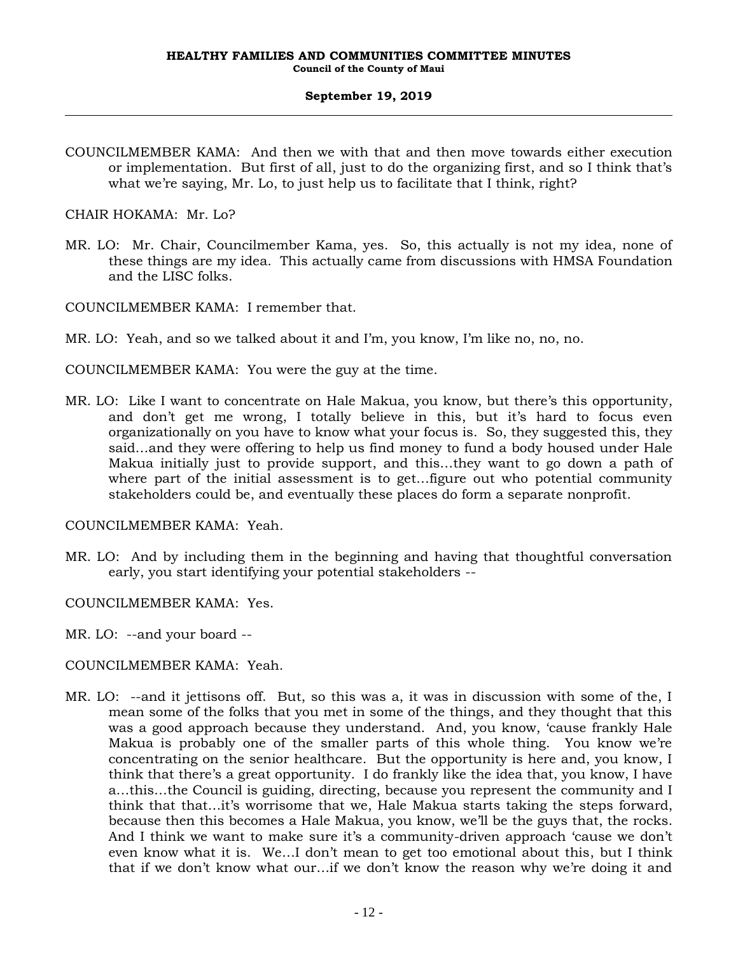COUNCILMEMBER KAMA: And then we with that and then move towards either execution or implementation. But first of all, just to do the organizing first, and so I think that's what we're saying, Mr. Lo, to just help us to facilitate that I think, right?

CHAIR HOKAMA: Mr. Lo?

- MR. LO: Mr. Chair, Councilmember Kama, yes. So, this actually is not my idea, none of these things are my idea. This actually came from discussions with HMSA Foundation and the LISC folks.
- COUNCILMEMBER KAMA: I remember that.
- MR. LO: Yeah, and so we talked about it and I'm, you know, I'm like no, no, no.

COUNCILMEMBER KAMA: You were the guy at the time.

MR. LO: Like I want to concentrate on Hale Makua, you know, but there's this opportunity, and don't get me wrong, I totally believe in this, but it's hard to focus even organizationally on you have to know what your focus is. So, they suggested this, they said…and they were offering to help us find money to fund a body housed under Hale Makua initially just to provide support, and this…they want to go down a path of where part of the initial assessment is to get…figure out who potential community stakeholders could be, and eventually these places do form a separate nonprofit.

#### COUNCILMEMBER KAMA: Yeah.

- MR. LO: And by including them in the beginning and having that thoughtful conversation early, you start identifying your potential stakeholders --
- COUNCILMEMBER KAMA: Yes.

MR. LO: --and your board --

- COUNCILMEMBER KAMA: Yeah.
- MR. LO: --and it jettisons off. But, so this was a, it was in discussion with some of the, I mean some of the folks that you met in some of the things, and they thought that this was a good approach because they understand. And, you know, 'cause frankly Hale Makua is probably one of the smaller parts of this whole thing. You know we're concentrating on the senior healthcare. But the opportunity is here and, you know, I think that there's a great opportunity. I do frankly like the idea that, you know, I have a…this…the Council is guiding, directing, because you represent the community and I think that that…it's worrisome that we, Hale Makua starts taking the steps forward, because then this becomes a Hale Makua, you know, we'll be the guys that, the rocks. And I think we want to make sure it's a community-driven approach 'cause we don't even know what it is. We…I don't mean to get too emotional about this, but I think that if we don't know what our…if we don't know the reason why we're doing it and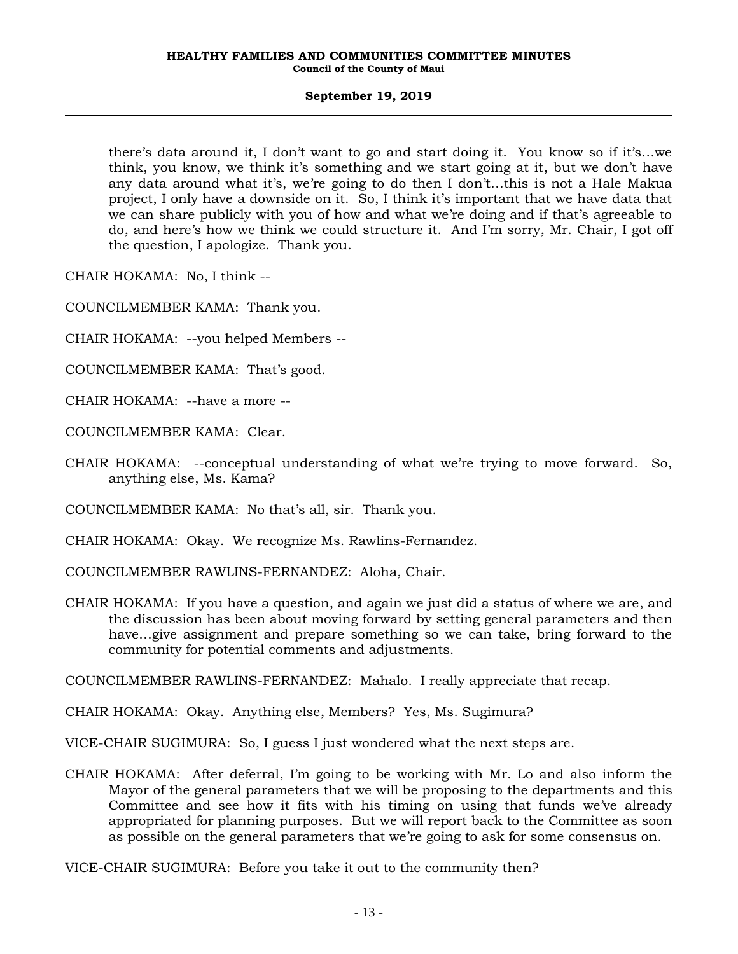there's data around it, I don't want to go and start doing it. You know so if it's…we think, you know, we think it's something and we start going at it, but we don't have any data around what it's, we're going to do then I don't…this is not a Hale Makua project, I only have a downside on it. So, I think it's important that we have data that we can share publicly with you of how and what we're doing and if that's agreeable to do, and here's how we think we could structure it. And I'm sorry, Mr. Chair, I got off the question, I apologize. Thank you.

CHAIR HOKAMA: No, I think --

COUNCILMEMBER KAMA: Thank you.

- CHAIR HOKAMA: --you helped Members --
- COUNCILMEMBER KAMA: That's good.
- CHAIR HOKAMA: --have a more --
- COUNCILMEMBER KAMA: Clear.
- CHAIR HOKAMA: --conceptual understanding of what we're trying to move forward. So, anything else, Ms. Kama?

COUNCILMEMBER KAMA: No that's all, sir. Thank you.

CHAIR HOKAMA: Okay. We recognize Ms. Rawlins-Fernandez.

COUNCILMEMBER RAWLINS-FERNANDEZ: Aloha, Chair.

CHAIR HOKAMA: If you have a question, and again we just did a status of where we are, and the discussion has been about moving forward by setting general parameters and then have…give assignment and prepare something so we can take, bring forward to the community for potential comments and adjustments.

COUNCILMEMBER RAWLINS-FERNANDEZ: Mahalo. I really appreciate that recap.

CHAIR HOKAMA: Okay. Anything else, Members? Yes, Ms. Sugimura?

VICE-CHAIR SUGIMURA: So, I guess I just wondered what the next steps are.

CHAIR HOKAMA: After deferral, I'm going to be working with Mr. Lo and also inform the Mayor of the general parameters that we will be proposing to the departments and this Committee and see how it fits with his timing on using that funds we've already appropriated for planning purposes. But we will report back to the Committee as soon as possible on the general parameters that we're going to ask for some consensus on.

VICE-CHAIR SUGIMURA: Before you take it out to the community then?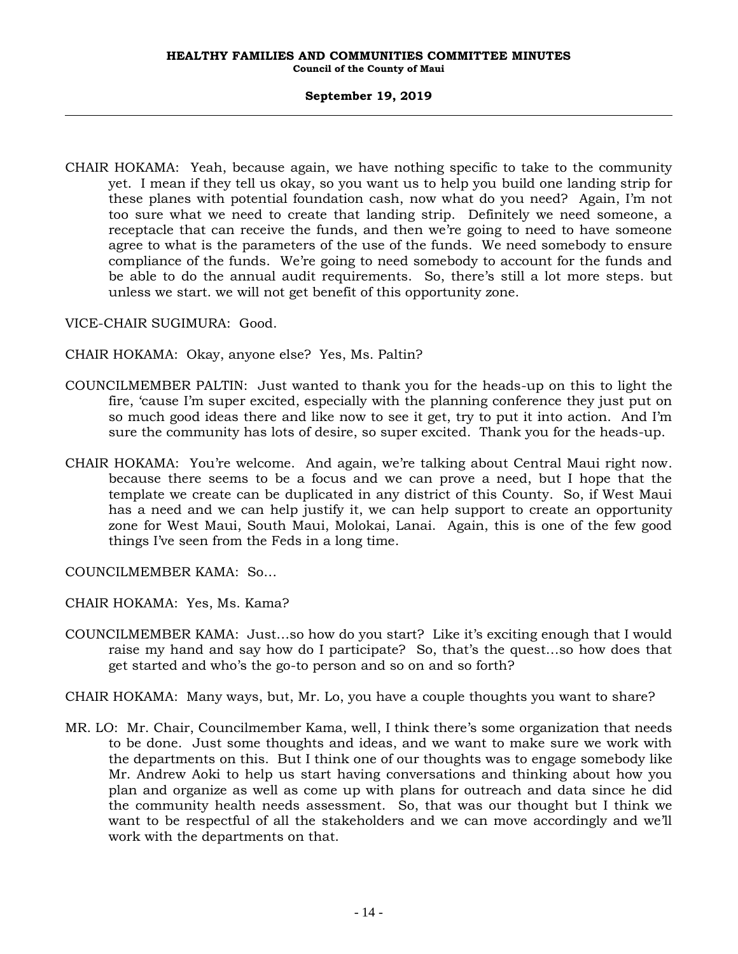CHAIR HOKAMA: Yeah, because again, we have nothing specific to take to the community yet. I mean if they tell us okay, so you want us to help you build one landing strip for these planes with potential foundation cash, now what do you need? Again, I'm not too sure what we need to create that landing strip. Definitely we need someone, a receptacle that can receive the funds, and then we're going to need to have someone agree to what is the parameters of the use of the funds. We need somebody to ensure compliance of the funds. We're going to need somebody to account for the funds and be able to do the annual audit requirements. So, there's still a lot more steps. but unless we start. we will not get benefit of this opportunity zone.

VICE-CHAIR SUGIMURA: Good.

CHAIR HOKAMA: Okay, anyone else? Yes, Ms. Paltin?

- COUNCILMEMBER PALTIN: Just wanted to thank you for the heads-up on this to light the fire, 'cause I'm super excited, especially with the planning conference they just put on so much good ideas there and like now to see it get, try to put it into action. And I'm sure the community has lots of desire, so super excited. Thank you for the heads-up.
- CHAIR HOKAMA: You're welcome. And again, we're talking about Central Maui right now. because there seems to be a focus and we can prove a need, but I hope that the template we create can be duplicated in any district of this County. So, if West Maui has a need and we can help justify it, we can help support to create an opportunity zone for West Maui, South Maui, Molokai, Lanai. Again, this is one of the few good things I've seen from the Feds in a long time.

COUNCILMEMBER KAMA: So…

CHAIR HOKAMA: Yes, Ms. Kama?

COUNCILMEMBER KAMA: Just…so how do you start? Like it's exciting enough that I would raise my hand and say how do I participate? So, that's the quest…so how does that get started and who's the go-to person and so on and so forth?

CHAIR HOKAMA: Many ways, but, Mr. Lo, you have a couple thoughts you want to share?

MR. LO: Mr. Chair, Councilmember Kama, well, I think there's some organization that needs to be done. Just some thoughts and ideas, and we want to make sure we work with the departments on this. But I think one of our thoughts was to engage somebody like Mr. Andrew Aoki to help us start having conversations and thinking about how you plan and organize as well as come up with plans for outreach and data since he did the community health needs assessment. So, that was our thought but I think we want to be respectful of all the stakeholders and we can move accordingly and we'll work with the departments on that.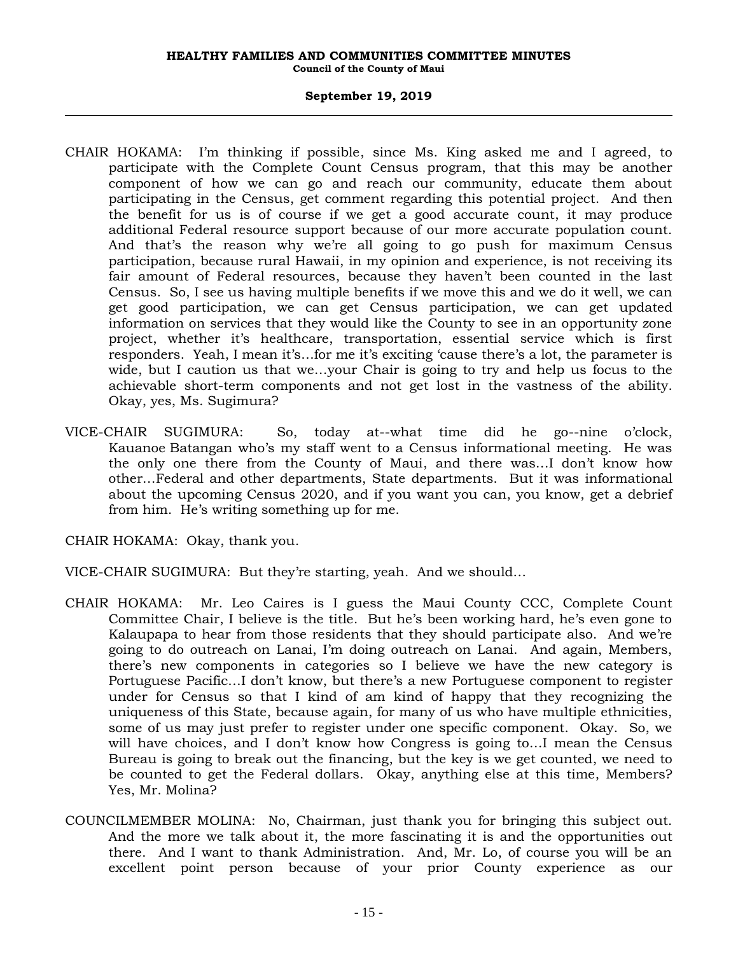#### **September 19, 2019**

- CHAIR HOKAMA: I'm thinking if possible, since Ms. King asked me and I agreed, to participate with the Complete Count Census program, that this may be another component of how we can go and reach our community, educate them about participating in the Census, get comment regarding this potential project. And then the benefit for us is of course if we get a good accurate count, it may produce additional Federal resource support because of our more accurate population count. And that's the reason why we're all going to go push for maximum Census participation, because rural Hawaii, in my opinion and experience, is not receiving its fair amount of Federal resources, because they haven't been counted in the last Census. So, I see us having multiple benefits if we move this and we do it well, we can get good participation, we can get Census participation, we can get updated information on services that they would like the County to see in an opportunity zone project, whether it's healthcare, transportation, essential service which is first responders. Yeah, I mean it's…for me it's exciting 'cause there's a lot, the parameter is wide, but I caution us that we…your Chair is going to try and help us focus to the achievable short-term components and not get lost in the vastness of the ability. Okay, yes, Ms. Sugimura?
- VICE-CHAIR SUGIMURA: So, today at--what time did he go--nine o'clock, Kauanoe Batangan who's my staff went to a Census informational meeting. He was the only one there from the County of Maui, and there was…I don't know how other…Federal and other departments, State departments. But it was informational about the upcoming Census 2020, and if you want you can, you know, get a debrief from him. He's writing something up for me.

CHAIR HOKAMA: Okay, thank you.

VICE-CHAIR SUGIMURA: But they're starting, yeah. And we should…

- CHAIR HOKAMA: Mr. Leo Caires is I guess the Maui County CCC, Complete Count Committee Chair, I believe is the title. But he's been working hard, he's even gone to Kalaupapa to hear from those residents that they should participate also. And we're going to do outreach on Lanai, I'm doing outreach on Lanai. And again, Members, there's new components in categories so I believe we have the new category is Portuguese Pacific…I don't know, but there's a new Portuguese component to register under for Census so that I kind of am kind of happy that they recognizing the uniqueness of this State, because again, for many of us who have multiple ethnicities, some of us may just prefer to register under one specific component. Okay. So, we will have choices, and I don't know how Congress is going to…I mean the Census Bureau is going to break out the financing, but the key is we get counted, we need to be counted to get the Federal dollars. Okay, anything else at this time, Members? Yes, Mr. Molina?
- COUNCILMEMBER MOLINA: No, Chairman, just thank you for bringing this subject out. And the more we talk about it, the more fascinating it is and the opportunities out there. And I want to thank Administration. And, Mr. Lo, of course you will be an excellent point person because of your prior County experience as our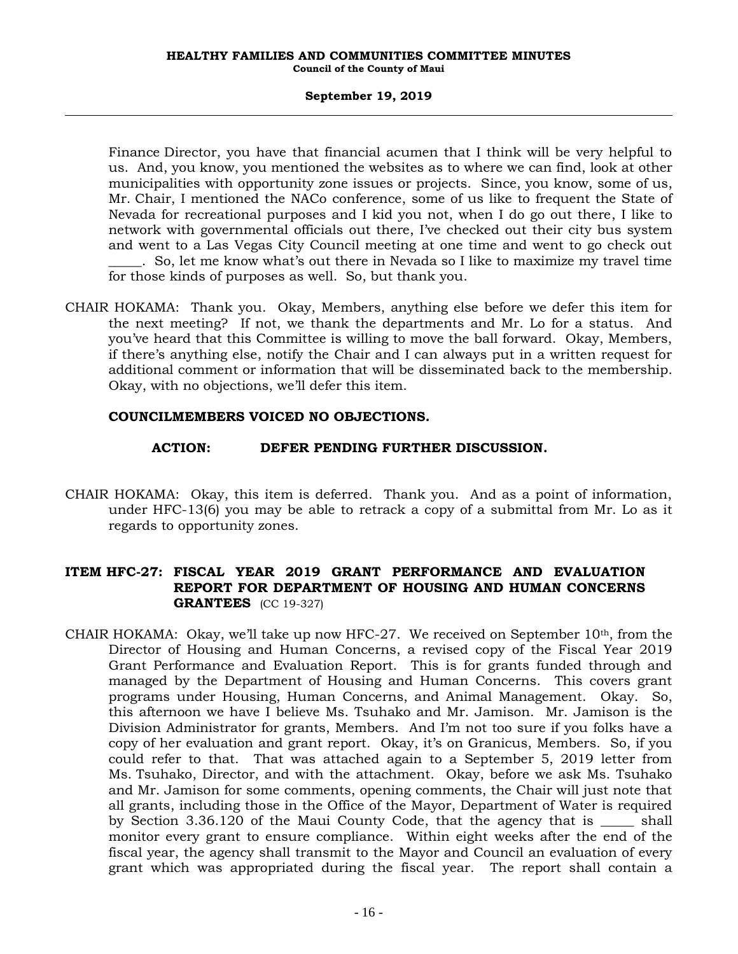Finance Director, you have that financial acumen that I think will be very helpful to us. And, you know, you mentioned the websites as to where we can find, look at other municipalities with opportunity zone issues or projects. Since, you know, some of us, Mr. Chair, I mentioned the NACo conference, some of us like to frequent the State of Nevada for recreational purposes and I kid you not, when I do go out there, I like to network with governmental officials out there, I've checked out their city bus system and went to a Las Vegas City Council meeting at one time and went to go check out \_\_\_\_\_. So, let me know what's out there in Nevada so I like to maximize my travel time for those kinds of purposes as well. So, but thank you.

CHAIR HOKAMA: Thank you. Okay, Members, anything else before we defer this item for the next meeting? If not, we thank the departments and Mr. Lo for a status. And you've heard that this Committee is willing to move the ball forward. Okay, Members, if there's anything else, notify the Chair and I can always put in a written request for additional comment or information that will be disseminated back to the membership. Okay, with no objections, we'll defer this item.

### **COUNCILMEMBERS VOICED NO OBJECTIONS.**

### **ACTION: DEFER PENDING FURTHER DISCUSSION.**

CHAIR HOKAMA: Okay, this item is deferred. Thank you. And as a point of information, under HFC-13(6) you may be able to retrack a copy of a submittal from Mr. Lo as it regards to opportunity zones.

# **ITEM HFC-27: FISCAL YEAR 2019 GRANT PERFORMANCE AND EVALUATION REPORT FOR DEPARTMENT OF HOUSING AND HUMAN CONCERNS GRANTEES** (CC 19-327)

CHAIR HOKAMA: Okay, we'll take up now HFC-27. We received on September  $10<sup>th</sup>$ , from the Director of Housing and Human Concerns, a revised copy of the Fiscal Year 2019 Grant Performance and Evaluation Report. This is for grants funded through and managed by the Department of Housing and Human Concerns. This covers grant programs under Housing, Human Concerns, and Animal Management. Okay. So, this afternoon we have I believe Ms. Tsuhako and Mr. Jamison. Mr. Jamison is the Division Administrator for grants, Members. And I'm not too sure if you folks have a copy of her evaluation and grant report. Okay, it's on Granicus, Members. So, if you could refer to that. That was attached again to a September 5, 2019 letter from Ms. Tsuhako, Director, and with the attachment. Okay, before we ask Ms. Tsuhako and Mr. Jamison for some comments, opening comments, the Chair will just note that all grants, including those in the Office of the Mayor, Department of Water is required by Section 3.36.120 of the Maui County Code, that the agency that is \_\_\_\_\_ shall monitor every grant to ensure compliance. Within eight weeks after the end of the fiscal year, the agency shall transmit to the Mayor and Council an evaluation of every grant which was appropriated during the fiscal year. The report shall contain a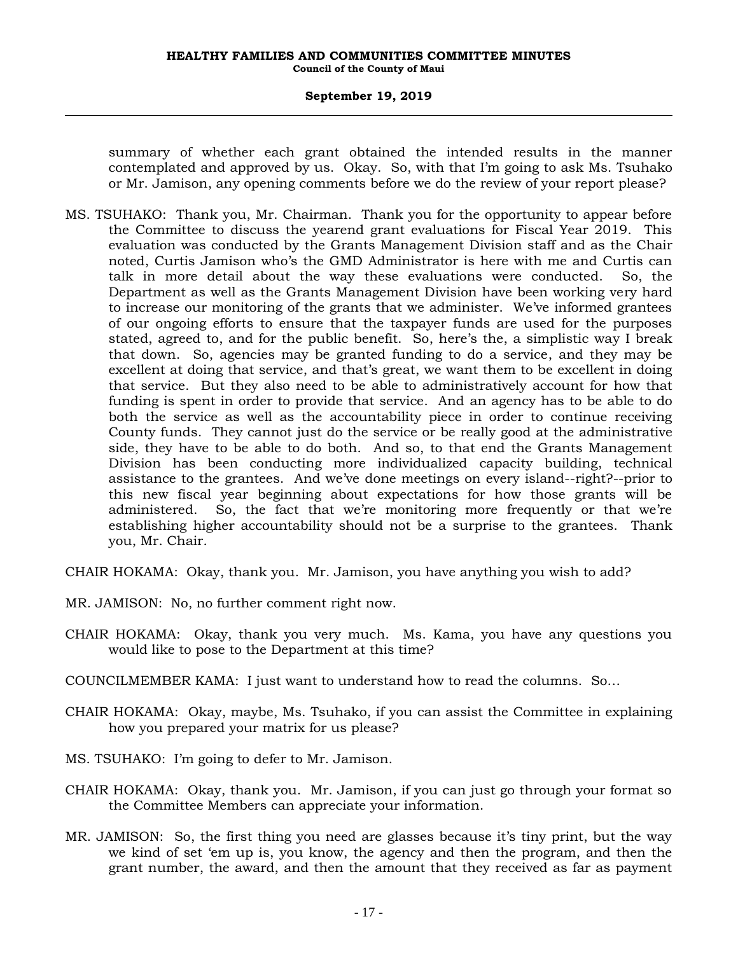#### **September 19, 2019**

summary of whether each grant obtained the intended results in the manner contemplated and approved by us. Okay. So, with that I'm going to ask Ms. Tsuhako or Mr. Jamison, any opening comments before we do the review of your report please?

MS. TSUHAKO: Thank you, Mr. Chairman. Thank you for the opportunity to appear before the Committee to discuss the yearend grant evaluations for Fiscal Year 2019. This evaluation was conducted by the Grants Management Division staff and as the Chair noted, Curtis Jamison who's the GMD Administrator is here with me and Curtis can talk in more detail about the way these evaluations were conducted. So, the Department as well as the Grants Management Division have been working very hard to increase our monitoring of the grants that we administer. We've informed grantees of our ongoing efforts to ensure that the taxpayer funds are used for the purposes stated, agreed to, and for the public benefit. So, here's the, a simplistic way I break that down. So, agencies may be granted funding to do a service, and they may be excellent at doing that service, and that's great, we want them to be excellent in doing that service. But they also need to be able to administratively account for how that funding is spent in order to provide that service. And an agency has to be able to do both the service as well as the accountability piece in order to continue receiving County funds. They cannot just do the service or be really good at the administrative side, they have to be able to do both. And so, to that end the Grants Management Division has been conducting more individualized capacity building, technical assistance to the grantees. And we've done meetings on every island--right?--prior to this new fiscal year beginning about expectations for how those grants will be administered. So, the fact that we're monitoring more frequently or that we're establishing higher accountability should not be a surprise to the grantees. Thank you, Mr. Chair.

CHAIR HOKAMA: Okay, thank you. Mr. Jamison, you have anything you wish to add?

- MR. JAMISON: No, no further comment right now.
- CHAIR HOKAMA: Okay, thank you very much. Ms. Kama, you have any questions you would like to pose to the Department at this time?
- COUNCILMEMBER KAMA: I just want to understand how to read the columns. So…
- CHAIR HOKAMA: Okay, maybe, Ms. Tsuhako, if you can assist the Committee in explaining how you prepared your matrix for us please?
- MS. TSUHAKO: I'm going to defer to Mr. Jamison.
- CHAIR HOKAMA: Okay, thank you. Mr. Jamison, if you can just go through your format so the Committee Members can appreciate your information.
- MR. JAMISON: So, the first thing you need are glasses because it's tiny print, but the way we kind of set 'em up is, you know, the agency and then the program, and then the grant number, the award, and then the amount that they received as far as payment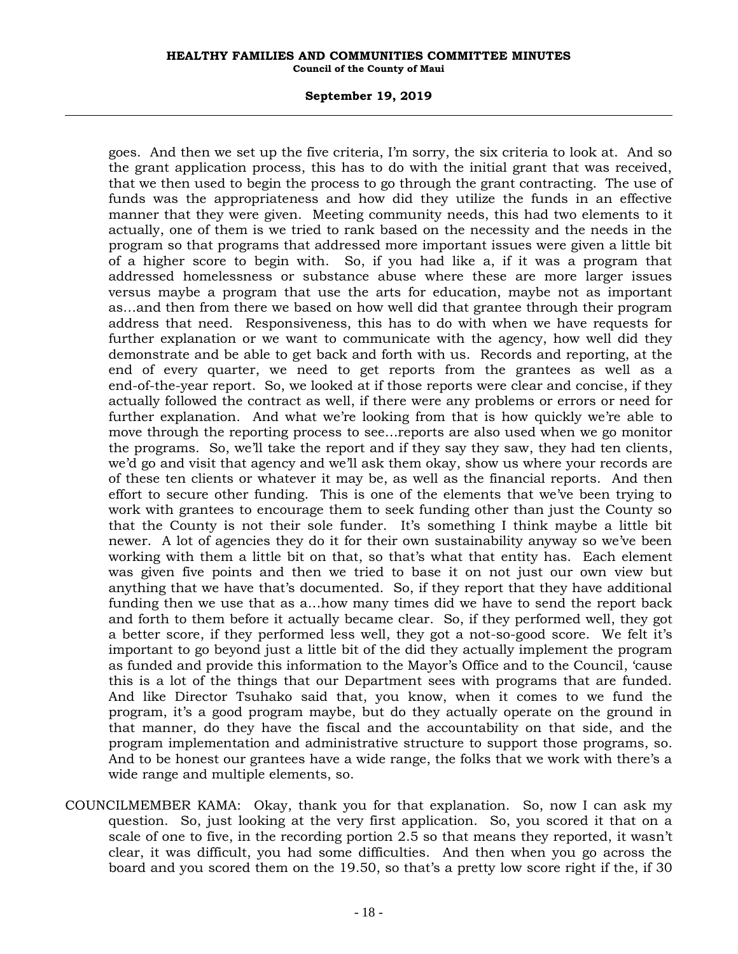#### **September 19, 2019**

goes. And then we set up the five criteria, I'm sorry, the six criteria to look at. And so the grant application process, this has to do with the initial grant that was received, that we then used to begin the process to go through the grant contracting. The use of funds was the appropriateness and how did they utilize the funds in an effective manner that they were given. Meeting community needs, this had two elements to it actually, one of them is we tried to rank based on the necessity and the needs in the program so that programs that addressed more important issues were given a little bit of a higher score to begin with. So, if you had like a, if it was a program that addressed homelessness or substance abuse where these are more larger issues versus maybe a program that use the arts for education, maybe not as important as…and then from there we based on how well did that grantee through their program address that need. Responsiveness, this has to do with when we have requests for further explanation or we want to communicate with the agency, how well did they demonstrate and be able to get back and forth with us. Records and reporting, at the end of every quarter, we need to get reports from the grantees as well as a end-of-the-year report. So, we looked at if those reports were clear and concise, if they actually followed the contract as well, if there were any problems or errors or need for further explanation. And what we're looking from that is how quickly we're able to move through the reporting process to see…reports are also used when we go monitor the programs. So, we'll take the report and if they say they saw, they had ten clients, we'd go and visit that agency and we'll ask them okay, show us where your records are of these ten clients or whatever it may be, as well as the financial reports. And then effort to secure other funding. This is one of the elements that we've been trying to work with grantees to encourage them to seek funding other than just the County so that the County is not their sole funder. It's something I think maybe a little bit newer. A lot of agencies they do it for their own sustainability anyway so we've been working with them a little bit on that, so that's what that entity has. Each element was given five points and then we tried to base it on not just our own view but anything that we have that's documented. So, if they report that they have additional funding then we use that as a…how many times did we have to send the report back and forth to them before it actually became clear. So, if they performed well, they got a better score, if they performed less well, they got a not-so-good score. We felt it's important to go beyond just a little bit of the did they actually implement the program as funded and provide this information to the Mayor's Office and to the Council, 'cause this is a lot of the things that our Department sees with programs that are funded. And like Director Tsuhako said that, you know, when it comes to we fund the program, it's a good program maybe, but do they actually operate on the ground in that manner, do they have the fiscal and the accountability on that side, and the program implementation and administrative structure to support those programs, so. And to be honest our grantees have a wide range, the folks that we work with there's a wide range and multiple elements, so.

COUNCILMEMBER KAMA: Okay, thank you for that explanation. So, now I can ask my question. So, just looking at the very first application. So, you scored it that on a scale of one to five, in the recording portion 2.5 so that means they reported, it wasn't clear, it was difficult, you had some difficulties. And then when you go across the board and you scored them on the 19.50, so that's a pretty low score right if the, if 30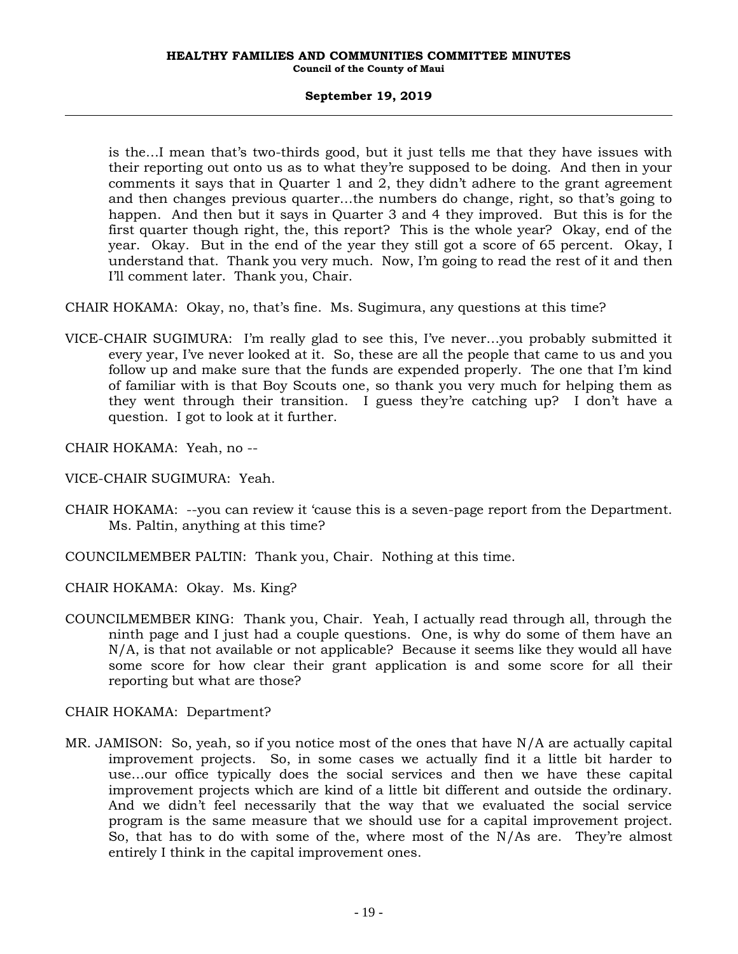is the…I mean that's two-thirds good, but it just tells me that they have issues with their reporting out onto us as to what they're supposed to be doing. And then in your comments it says that in Quarter 1 and 2, they didn't adhere to the grant agreement and then changes previous quarter…the numbers do change, right, so that's going to happen. And then but it says in Quarter 3 and 4 they improved. But this is for the first quarter though right, the, this report? This is the whole year? Okay, end of the year. Okay. But in the end of the year they still got a score of 65 percent. Okay, I understand that. Thank you very much. Now, I'm going to read the rest of it and then I'll comment later. Thank you, Chair.

CHAIR HOKAMA: Okay, no, that's fine. Ms. Sugimura, any questions at this time?

VICE-CHAIR SUGIMURA: I'm really glad to see this, I've never…you probably submitted it every year, I've never looked at it. So, these are all the people that came to us and you follow up and make sure that the funds are expended properly. The one that I'm kind of familiar with is that Boy Scouts one, so thank you very much for helping them as they went through their transition. I guess they're catching up? I don't have a question. I got to look at it further.

CHAIR HOKAMA: Yeah, no --

VICE-CHAIR SUGIMURA: Yeah.

- CHAIR HOKAMA: --you can review it 'cause this is a seven-page report from the Department. Ms. Paltin, anything at this time?
- COUNCILMEMBER PALTIN: Thank you, Chair. Nothing at this time.

CHAIR HOKAMA: Okay. Ms. King?

COUNCILMEMBER KING: Thank you, Chair. Yeah, I actually read through all, through the ninth page and I just had a couple questions. One, is why do some of them have an N/A, is that not available or not applicable? Because it seems like they would all have some score for how clear their grant application is and some score for all their reporting but what are those?

CHAIR HOKAMA: Department?

MR. JAMISON: So, yeah, so if you notice most of the ones that have N/A are actually capital improvement projects. So, in some cases we actually find it a little bit harder to use…our office typically does the social services and then we have these capital improvement projects which are kind of a little bit different and outside the ordinary. And we didn't feel necessarily that the way that we evaluated the social service program is the same measure that we should use for a capital improvement project. So, that has to do with some of the, where most of the N/As are. They're almost entirely I think in the capital improvement ones.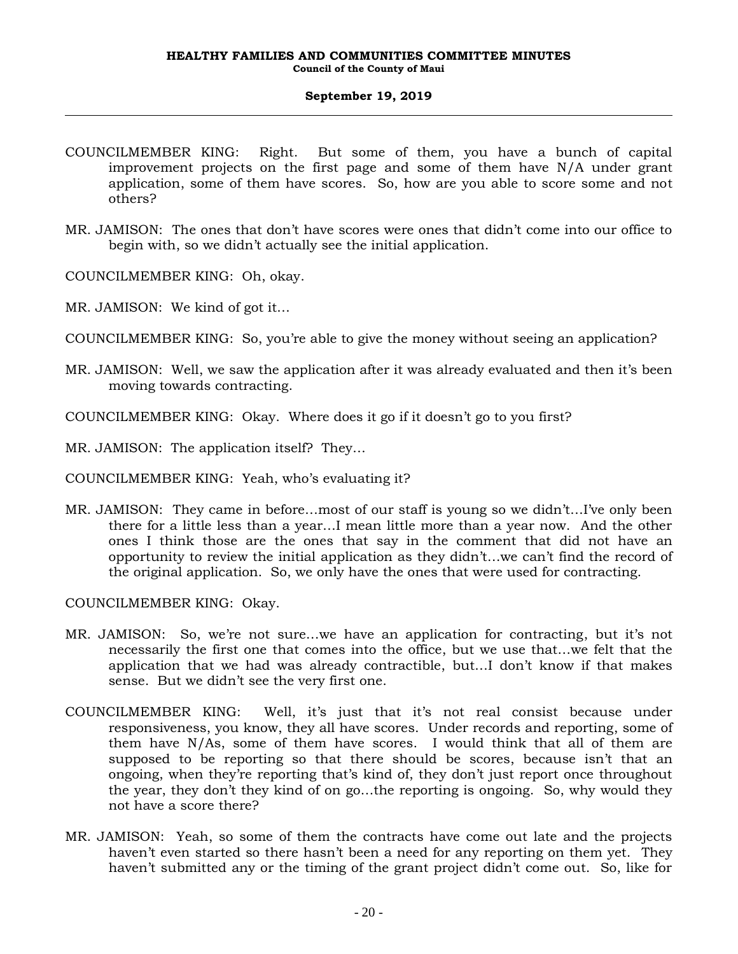- COUNCILMEMBER KING: Right. But some of them, you have a bunch of capital improvement projects on the first page and some of them have N/A under grant application, some of them have scores. So, how are you able to score some and not others?
- MR. JAMISON: The ones that don't have scores were ones that didn't come into our office to begin with, so we didn't actually see the initial application.

COUNCILMEMBER KING: Oh, okay.

MR. JAMISON: We kind of got it…

COUNCILMEMBER KING: So, you're able to give the money without seeing an application?

MR. JAMISON: Well, we saw the application after it was already evaluated and then it's been moving towards contracting.

COUNCILMEMBER KING: Okay. Where does it go if it doesn't go to you first?

MR. JAMISON: The application itself? They…

COUNCILMEMBER KING: Yeah, who's evaluating it?

MR. JAMISON: They came in before…most of our staff is young so we didn't…I've only been there for a little less than a year…I mean little more than a year now. And the other ones I think those are the ones that say in the comment that did not have an opportunity to review the initial application as they didn't…we can't find the record of the original application. So, we only have the ones that were used for contracting.

COUNCILMEMBER KING: Okay.

- MR. JAMISON: So, we're not sure…we have an application for contracting, but it's not necessarily the first one that comes into the office, but we use that…we felt that the application that we had was already contractible, but…I don't know if that makes sense. But we didn't see the very first one.
- COUNCILMEMBER KING: Well, it's just that it's not real consist because under responsiveness, you know, they all have scores. Under records and reporting, some of them have N/As, some of them have scores. I would think that all of them are supposed to be reporting so that there should be scores, because isn't that an ongoing, when they're reporting that's kind of, they don't just report once throughout the year, they don't they kind of on go…the reporting is ongoing. So, why would they not have a score there?
- MR. JAMISON: Yeah, so some of them the contracts have come out late and the projects haven't even started so there hasn't been a need for any reporting on them yet. They haven't submitted any or the timing of the grant project didn't come out. So, like for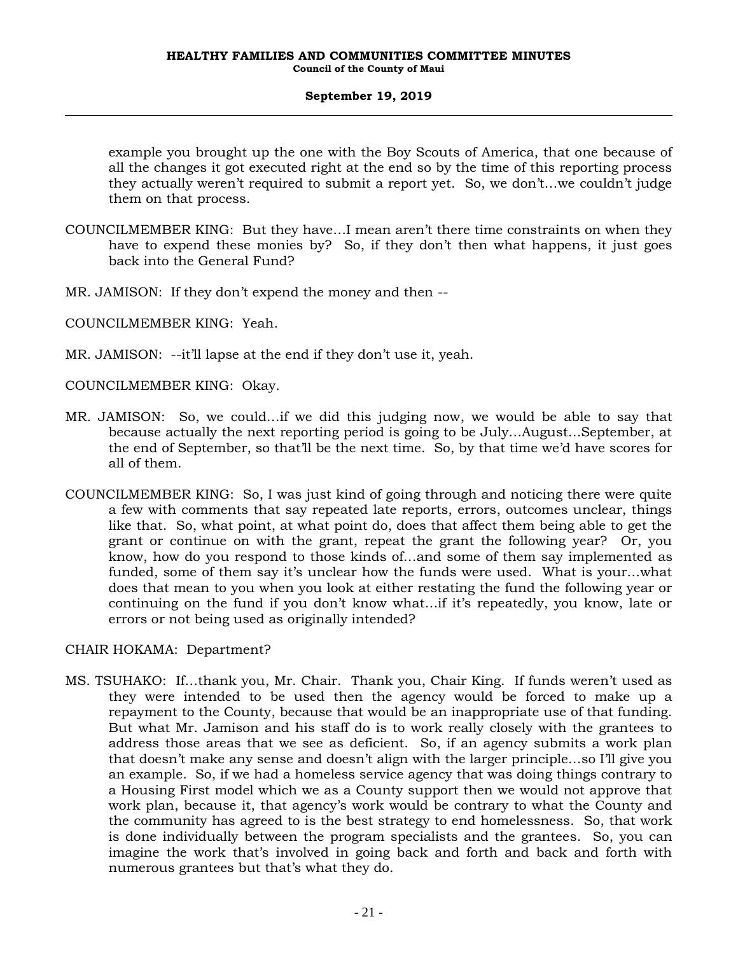example you brought up the one with the Boy Scouts of America, that one because of all the changes it got executed right at the end so by the time of this reporting process they actually weren't required to submit a report yet. So, we don't…we couldn't judge them on that process.

- COUNCILMEMBER KING: But they have…I mean aren't there time constraints on when they have to expend these monies by? So, if they don't then what happens, it just goes back into the General Fund?
- MR. JAMISON: If they don't expend the money and then --
- COUNCILMEMBER KING: Yeah.
- MR. JAMISON: --it'll lapse at the end if they don't use it, yeah.

COUNCILMEMBER KING: Okay.

- MR. JAMISON: So, we could…if we did this judging now, we would be able to say that because actually the next reporting period is going to be July…August…September, at the end of September, so that'll be the next time. So, by that time we'd have scores for all of them.
- COUNCILMEMBER KING: So, I was just kind of going through and noticing there were quite a few with comments that say repeated late reports, errors, outcomes unclear, things like that. So, what point, at what point do, does that affect them being able to get the grant or continue on with the grant, repeat the grant the following year? Or, you know, how do you respond to those kinds of…and some of them say implemented as funded, some of them say it's unclear how the funds were used. What is your…what does that mean to you when you look at either restating the fund the following year or continuing on the fund if you don't know what…if it's repeatedly, you know, late or errors or not being used as originally intended?

### CHAIR HOKAMA: Department?

MS. TSUHAKO: If…thank you, Mr. Chair. Thank you, Chair King. If funds weren't used as they were intended to be used then the agency would be forced to make up a repayment to the County, because that would be an inappropriate use of that funding. But what Mr. Jamison and his staff do is to work really closely with the grantees to address those areas that we see as deficient. So, if an agency submits a work plan that doesn't make any sense and doesn't align with the larger principle…so I'll give you an example. So, if we had a homeless service agency that was doing things contrary to a Housing First model which we as a County support then we would not approve that work plan, because it, that agency's work would be contrary to what the County and the community has agreed to is the best strategy to end homelessness. So, that work is done individually between the program specialists and the grantees. So, you can imagine the work that's involved in going back and forth and back and forth with numerous grantees but that's what they do.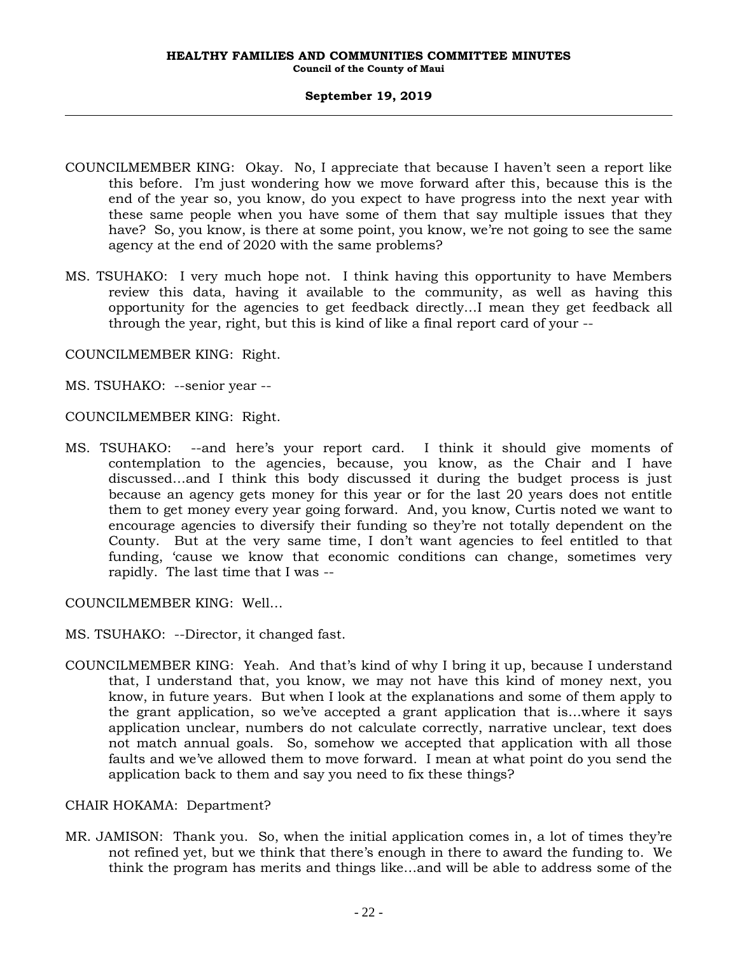- COUNCILMEMBER KING: Okay. No, I appreciate that because I haven't seen a report like this before. I'm just wondering how we move forward after this, because this is the end of the year so, you know, do you expect to have progress into the next year with these same people when you have some of them that say multiple issues that they have? So, you know, is there at some point, you know, we're not going to see the same agency at the end of 2020 with the same problems?
- MS. TSUHAKO: I very much hope not. I think having this opportunity to have Members review this data, having it available to the community, as well as having this opportunity for the agencies to get feedback directly…I mean they get feedback all through the year, right, but this is kind of like a final report card of your --

COUNCILMEMBER KING: Right.

MS. TSUHAKO: --senior year --

COUNCILMEMBER KING: Right.

MS. TSUHAKO: --and here's your report card. I think it should give moments of contemplation to the agencies, because, you know, as the Chair and I have discussed…and I think this body discussed it during the budget process is just because an agency gets money for this year or for the last 20 years does not entitle them to get money every year going forward. And, you know, Curtis noted we want to encourage agencies to diversify their funding so they're not totally dependent on the County. But at the very same time, I don't want agencies to feel entitled to that funding, 'cause we know that economic conditions can change, sometimes very rapidly. The last time that I was --

COUNCILMEMBER KING: Well…

- MS. TSUHAKO: --Director, it changed fast.
- COUNCILMEMBER KING: Yeah. And that's kind of why I bring it up, because I understand that, I understand that, you know, we may not have this kind of money next, you know, in future years. But when I look at the explanations and some of them apply to the grant application, so we've accepted a grant application that is…where it says application unclear, numbers do not calculate correctly, narrative unclear, text does not match annual goals. So, somehow we accepted that application with all those faults and we've allowed them to move forward. I mean at what point do you send the application back to them and say you need to fix these things?

### CHAIR HOKAMA: Department?

MR. JAMISON: Thank you. So, when the initial application comes in, a lot of times they're not refined yet, but we think that there's enough in there to award the funding to. We think the program has merits and things like…and will be able to address some of the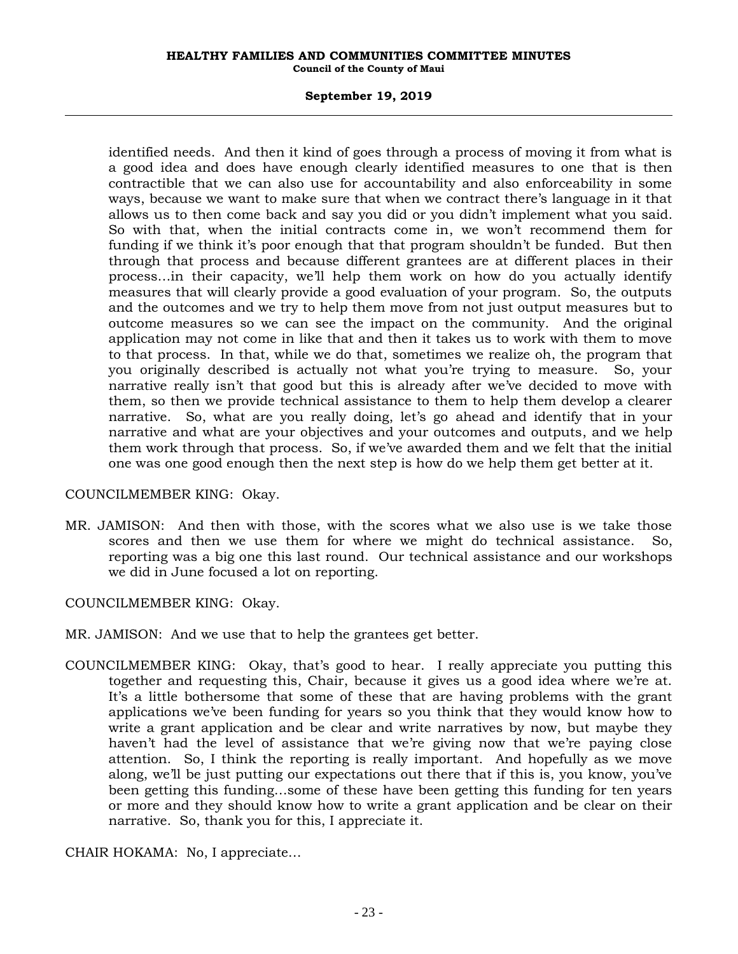#### **September 19, 2019**

identified needs. And then it kind of goes through a process of moving it from what is a good idea and does have enough clearly identified measures to one that is then contractible that we can also use for accountability and also enforceability in some ways, because we want to make sure that when we contract there's language in it that allows us to then come back and say you did or you didn't implement what you said. So with that, when the initial contracts come in, we won't recommend them for funding if we think it's poor enough that that program shouldn't be funded. But then through that process and because different grantees are at different places in their process…in their capacity, we'll help them work on how do you actually identify measures that will clearly provide a good evaluation of your program. So, the outputs and the outcomes and we try to help them move from not just output measures but to outcome measures so we can see the impact on the community. And the original application may not come in like that and then it takes us to work with them to move to that process. In that, while we do that, sometimes we realize oh, the program that you originally described is actually not what you're trying to measure. So, your narrative really isn't that good but this is already after we've decided to move with them, so then we provide technical assistance to them to help them develop a clearer narrative. So, what are you really doing, let's go ahead and identify that in your narrative and what are your objectives and your outcomes and outputs, and we help them work through that process. So, if we've awarded them and we felt that the initial one was one good enough then the next step is how do we help them get better at it.

### COUNCILMEMBER KING: Okay.

MR. JAMISON: And then with those, with the scores what we also use is we take those scores and then we use them for where we might do technical assistance. So, reporting was a big one this last round. Our technical assistance and our workshops we did in June focused a lot on reporting.

COUNCILMEMBER KING: Okay.

- MR. JAMISON: And we use that to help the grantees get better.
- COUNCILMEMBER KING: Okay, that's good to hear. I really appreciate you putting this together and requesting this, Chair, because it gives us a good idea where we're at. It's a little bothersome that some of these that are having problems with the grant applications we've been funding for years so you think that they would know how to write a grant application and be clear and write narratives by now, but maybe they haven't had the level of assistance that we're giving now that we're paying close attention. So, I think the reporting is really important. And hopefully as we move along, we'll be just putting our expectations out there that if this is, you know, you've been getting this funding…some of these have been getting this funding for ten years or more and they should know how to write a grant application and be clear on their narrative. So, thank you for this, I appreciate it.

CHAIR HOKAMA: No, I appreciate…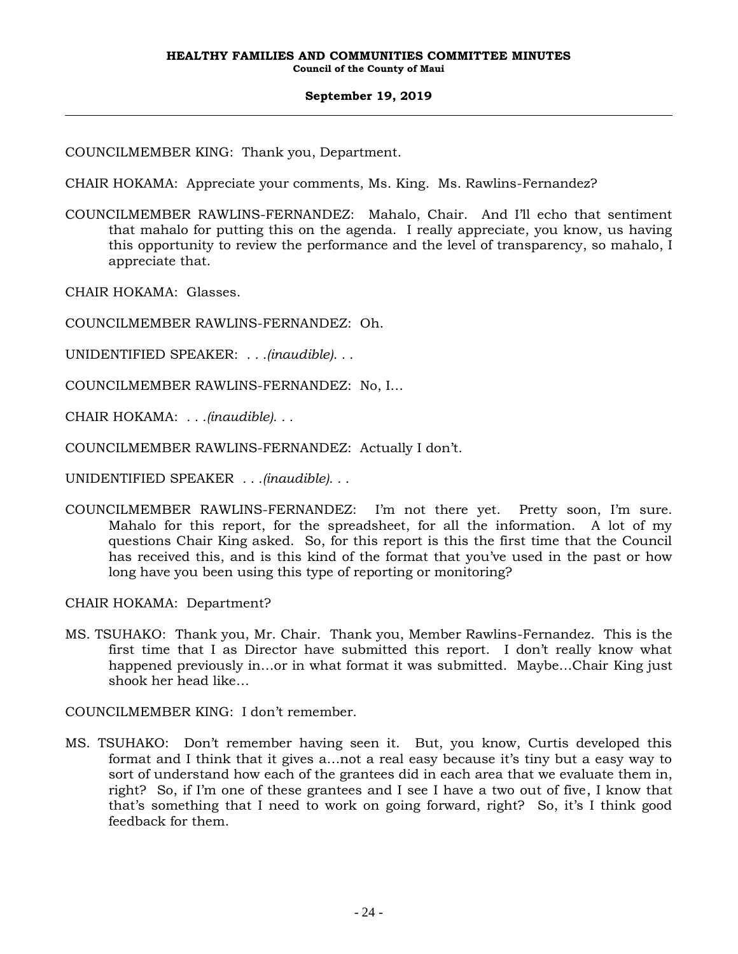COUNCILMEMBER KING: Thank you, Department.

CHAIR HOKAMA: Appreciate your comments, Ms. King. Ms. Rawlins-Fernandez?

COUNCILMEMBER RAWLINS-FERNANDEZ: Mahalo, Chair. And I'll echo that sentiment that mahalo for putting this on the agenda. I really appreciate, you know, us having this opportunity to review the performance and the level of transparency, so mahalo, I appreciate that.

CHAIR HOKAMA: Glasses.

COUNCILMEMBER RAWLINS-FERNANDEZ: Oh.

UNIDENTIFIED SPEAKER: *. . .(inaudible). . .*

COUNCILMEMBER RAWLINS-FERNANDEZ: No, I…

CHAIR HOKAMA: *. . .(inaudible). . .*

COUNCILMEMBER RAWLINS-FERNANDEZ: Actually I don't.

UNIDENTIFIED SPEAKER *. . .(inaudible). . .*

COUNCILMEMBER RAWLINS-FERNANDEZ: I'm not there yet. Pretty soon, I'm sure. Mahalo for this report, for the spreadsheet, for all the information. A lot of my questions Chair King asked. So, for this report is this the first time that the Council has received this, and is this kind of the format that you've used in the past or how long have you been using this type of reporting or monitoring?

CHAIR HOKAMA: Department?

MS. TSUHAKO: Thank you, Mr. Chair. Thank you, Member Rawlins-Fernandez. This is the first time that I as Director have submitted this report. I don't really know what happened previously in…or in what format it was submitted. Maybe…Chair King just shook her head like…

COUNCILMEMBER KING: I don't remember.

MS. TSUHAKO: Don't remember having seen it. But, you know, Curtis developed this format and I think that it gives a…not a real easy because it's tiny but a easy way to sort of understand how each of the grantees did in each area that we evaluate them in, right? So, if I'm one of these grantees and I see I have a two out of five, I know that that's something that I need to work on going forward, right? So, it's I think good feedback for them.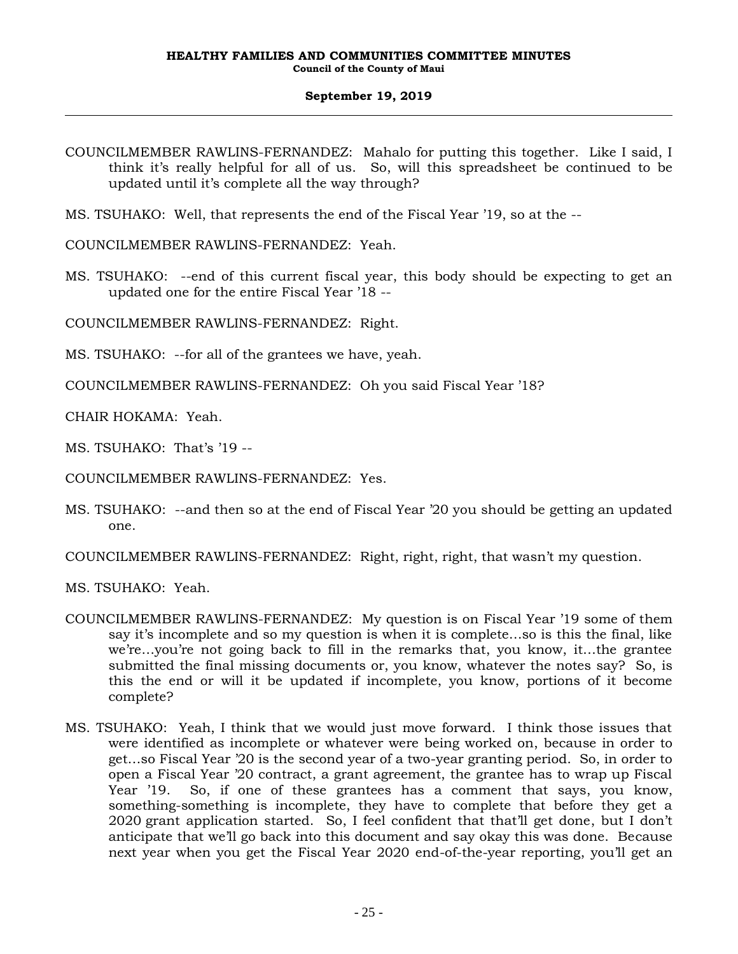- COUNCILMEMBER RAWLINS-FERNANDEZ: Mahalo for putting this together. Like I said, I think it's really helpful for all of us. So, will this spreadsheet be continued to be updated until it's complete all the way through?
- MS. TSUHAKO: Well, that represents the end of the Fiscal Year '19, so at the --

COUNCILMEMBER RAWLINS-FERNANDEZ: Yeah.

MS. TSUHAKO: --end of this current fiscal year, this body should be expecting to get an updated one for the entire Fiscal Year '18 --

COUNCILMEMBER RAWLINS-FERNANDEZ: Right.

- MS. TSUHAKO: --for all of the grantees we have, yeah.
- COUNCILMEMBER RAWLINS-FERNANDEZ: Oh you said Fiscal Year '18?

CHAIR HOKAMA: Yeah.

MS. TSUHAKO: That's '19 --

COUNCILMEMBER RAWLINS-FERNANDEZ: Yes.

MS. TSUHAKO: --and then so at the end of Fiscal Year '20 you should be getting an updated one.

COUNCILMEMBER RAWLINS-FERNANDEZ: Right, right, right, that wasn't my question.

MS. TSUHAKO: Yeah.

- COUNCILMEMBER RAWLINS-FERNANDEZ: My question is on Fiscal Year '19 some of them say it's incomplete and so my question is when it is complete…so is this the final, like we're…you're not going back to fill in the remarks that, you know, it…the grantee submitted the final missing documents or, you know, whatever the notes say? So, is this the end or will it be updated if incomplete, you know, portions of it become complete?
- MS. TSUHAKO: Yeah, I think that we would just move forward. I think those issues that were identified as incomplete or whatever were being worked on, because in order to get…so Fiscal Year '20 is the second year of a two-year granting period. So, in order to open a Fiscal Year '20 contract, a grant agreement, the grantee has to wrap up Fiscal Year '19. So, if one of these grantees has a comment that says, you know, something-something is incomplete, they have to complete that before they get a 2020 grant application started. So, I feel confident that that'll get done, but I don't anticipate that we'll go back into this document and say okay this was done. Because next year when you get the Fiscal Year 2020 end-of-the-year reporting, you'll get an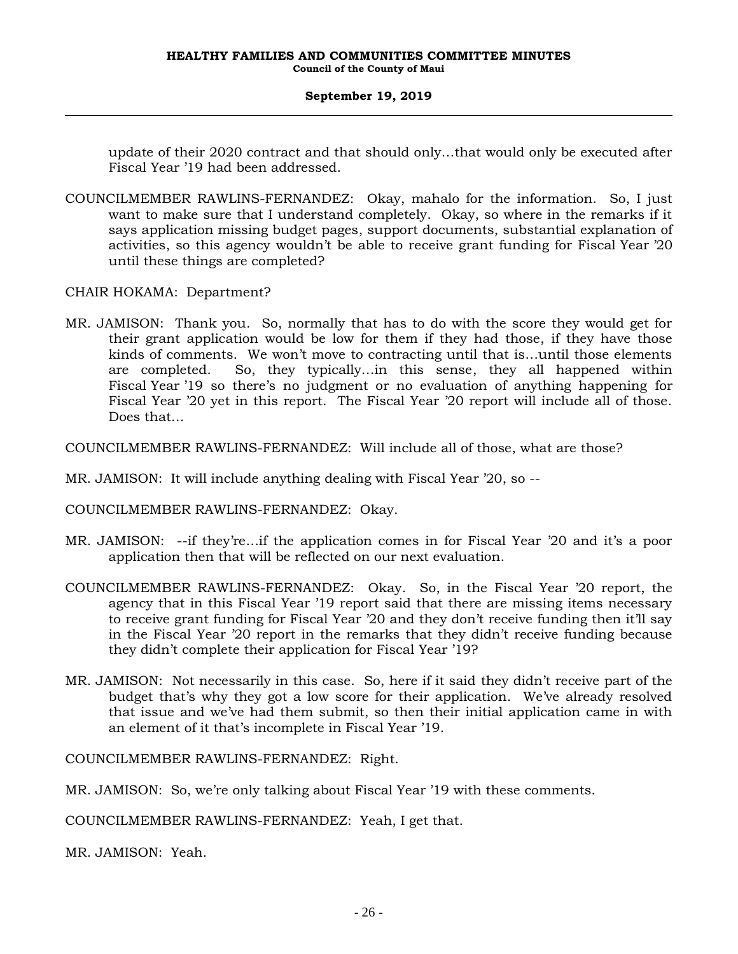update of their 2020 contract and that should only…that would only be executed after Fiscal Year '19 had been addressed.

- COUNCILMEMBER RAWLINS-FERNANDEZ: Okay, mahalo for the information. So, I just want to make sure that I understand completely. Okay, so where in the remarks if it says application missing budget pages, support documents, substantial explanation of activities, so this agency wouldn't be able to receive grant funding for Fiscal Year '20 until these things are completed?
- CHAIR HOKAMA: Department?
- MR. JAMISON: Thank you. So, normally that has to do with the score they would get for their grant application would be low for them if they had those, if they have those kinds of comments. We won't move to contracting until that is…until those elements are completed. So, they typically…in this sense, they all happened within Fiscal Year '19 so there's no judgment or no evaluation of anything happening for Fiscal Year '20 yet in this report. The Fiscal Year '20 report will include all of those. Does that…
- COUNCILMEMBER RAWLINS-FERNANDEZ: Will include all of those, what are those?
- MR. JAMISON: It will include anything dealing with Fiscal Year '20, so --
- COUNCILMEMBER RAWLINS-FERNANDEZ: Okay.
- MR. JAMISON: --if they're…if the application comes in for Fiscal Year '20 and it's a poor application then that will be reflected on our next evaluation.
- COUNCILMEMBER RAWLINS-FERNANDEZ: Okay. So, in the Fiscal Year '20 report, the agency that in this Fiscal Year '19 report said that there are missing items necessary to receive grant funding for Fiscal Year '20 and they don't receive funding then it'll say in the Fiscal Year '20 report in the remarks that they didn't receive funding because they didn't complete their application for Fiscal Year '19?
- MR. JAMISON: Not necessarily in this case. So, here if it said they didn't receive part of the budget that's why they got a low score for their application. We've already resolved that issue and we've had them submit, so then their initial application came in with an element of it that's incomplete in Fiscal Year '19.

COUNCILMEMBER RAWLINS-FERNANDEZ: Right.

MR. JAMISON: So, we're only talking about Fiscal Year '19 with these comments.

COUNCILMEMBER RAWLINS-FERNANDEZ: Yeah, I get that.

MR. JAMISON: Yeah.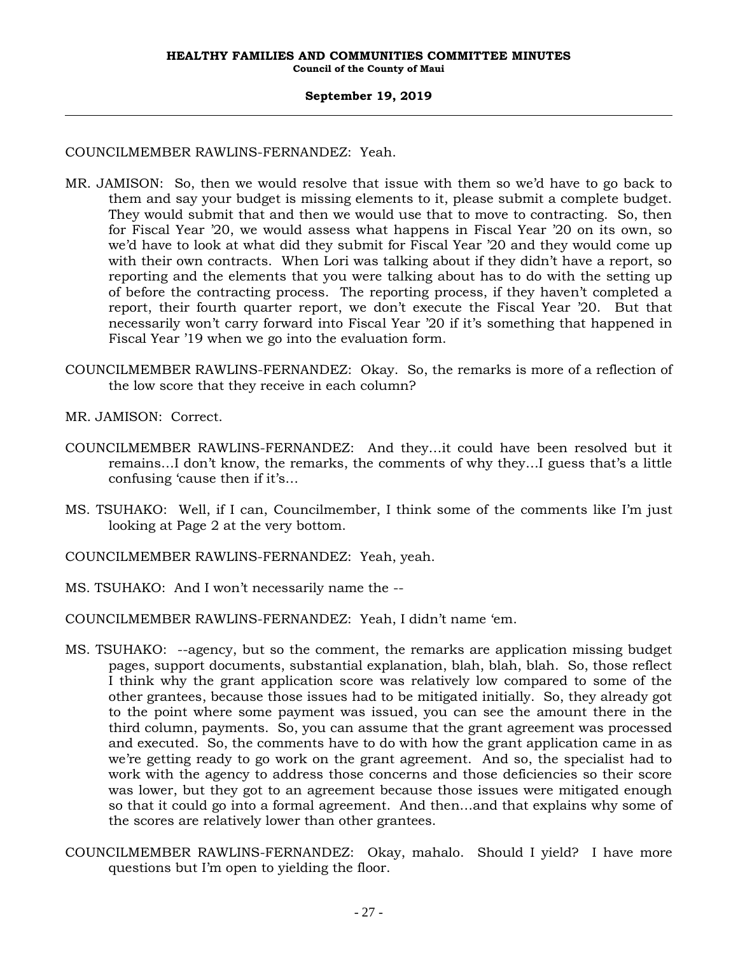### COUNCILMEMBER RAWLINS-FERNANDEZ: Yeah.

- MR. JAMISON: So, then we would resolve that issue with them so we'd have to go back to them and say your budget is missing elements to it, please submit a complete budget. They would submit that and then we would use that to move to contracting. So, then for Fiscal Year '20, we would assess what happens in Fiscal Year '20 on its own, so we'd have to look at what did they submit for Fiscal Year '20 and they would come up with their own contracts. When Lori was talking about if they didn't have a report, so reporting and the elements that you were talking about has to do with the setting up of before the contracting process. The reporting process, if they haven't completed a report, their fourth quarter report, we don't execute the Fiscal Year '20. But that necessarily won't carry forward into Fiscal Year '20 if it's something that happened in Fiscal Year '19 when we go into the evaluation form.
- COUNCILMEMBER RAWLINS-FERNANDEZ: Okay. So, the remarks is more of a reflection of the low score that they receive in each column?
- MR. JAMISON: Correct.
- COUNCILMEMBER RAWLINS-FERNANDEZ: And they…it could have been resolved but it remains…I don't know, the remarks, the comments of why they…I guess that's a little confusing 'cause then if it's…
- MS. TSUHAKO: Well, if I can, Councilmember, I think some of the comments like I'm just looking at Page 2 at the very bottom.
- COUNCILMEMBER RAWLINS-FERNANDEZ: Yeah, yeah.
- MS. TSUHAKO: And I won't necessarily name the --
- COUNCILMEMBER RAWLINS-FERNANDEZ: Yeah, I didn't name 'em.
- MS. TSUHAKO: --agency, but so the comment, the remarks are application missing budget pages, support documents, substantial explanation, blah, blah, blah. So, those reflect I think why the grant application score was relatively low compared to some of the other grantees, because those issues had to be mitigated initially. So, they already got to the point where some payment was issued, you can see the amount there in the third column, payments. So, you can assume that the grant agreement was processed and executed. So, the comments have to do with how the grant application came in as we're getting ready to go work on the grant agreement. And so, the specialist had to work with the agency to address those concerns and those deficiencies so their score was lower, but they got to an agreement because those issues were mitigated enough so that it could go into a formal agreement. And then…and that explains why some of the scores are relatively lower than other grantees.
- COUNCILMEMBER RAWLINS-FERNANDEZ: Okay, mahalo. Should I yield? I have more questions but I'm open to yielding the floor.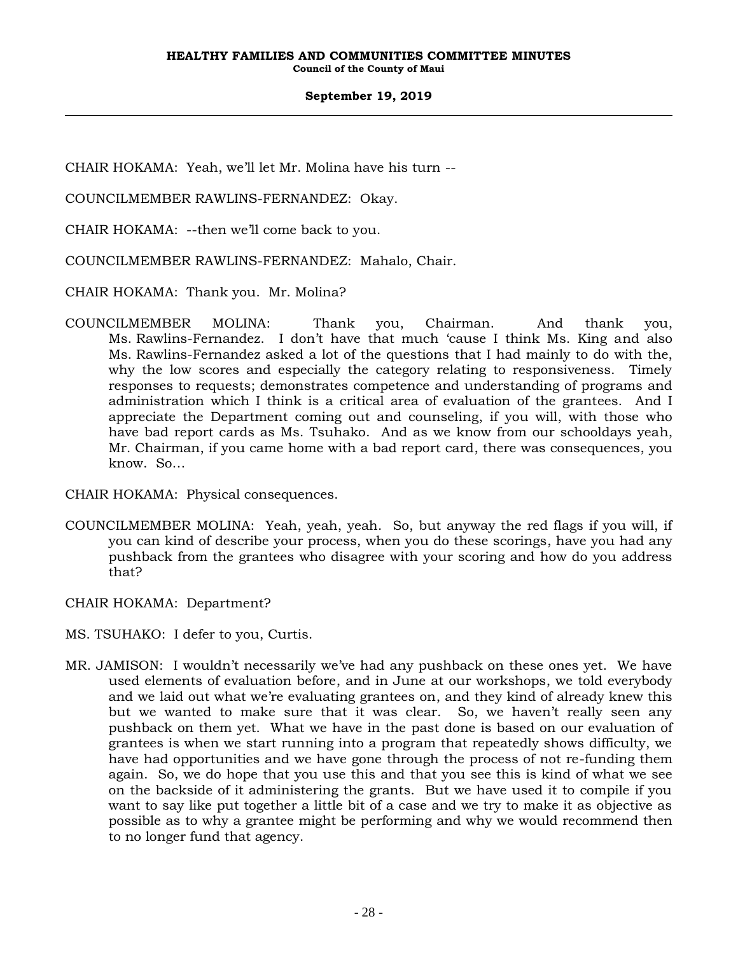CHAIR HOKAMA: Yeah, we'll let Mr. Molina have his turn --

COUNCILMEMBER RAWLINS-FERNANDEZ: Okay.

CHAIR HOKAMA: --then we'll come back to you.

COUNCILMEMBER RAWLINS-FERNANDEZ: Mahalo, Chair.

CHAIR HOKAMA: Thank you. Mr. Molina?

COUNCILMEMBER MOLINA: Thank you, Chairman. And thank you, Ms. Rawlins-Fernandez. I don't have that much 'cause I think Ms. King and also Ms. Rawlins-Fernandez asked a lot of the questions that I had mainly to do with the, why the low scores and especially the category relating to responsiveness. Timely responses to requests; demonstrates competence and understanding of programs and administration which I think is a critical area of evaluation of the grantees. And I appreciate the Department coming out and counseling, if you will, with those who have bad report cards as Ms. Tsuhako. And as we know from our schooldays yeah, Mr. Chairman, if you came home with a bad report card, there was consequences, you know. So…

CHAIR HOKAMA: Physical consequences.

- COUNCILMEMBER MOLINA: Yeah, yeah, yeah. So, but anyway the red flags if you will, if you can kind of describe your process, when you do these scorings, have you had any pushback from the grantees who disagree with your scoring and how do you address that?
- CHAIR HOKAMA: Department?
- MS. TSUHAKO: I defer to you, Curtis.
- MR. JAMISON: I wouldn't necessarily we've had any pushback on these ones yet. We have used elements of evaluation before, and in June at our workshops, we told everybody and we laid out what we're evaluating grantees on, and they kind of already knew this but we wanted to make sure that it was clear. So, we haven't really seen any pushback on them yet. What we have in the past done is based on our evaluation of grantees is when we start running into a program that repeatedly shows difficulty, we have had opportunities and we have gone through the process of not re-funding them again. So, we do hope that you use this and that you see this is kind of what we see on the backside of it administering the grants. But we have used it to compile if you want to say like put together a little bit of a case and we try to make it as objective as possible as to why a grantee might be performing and why we would recommend then to no longer fund that agency.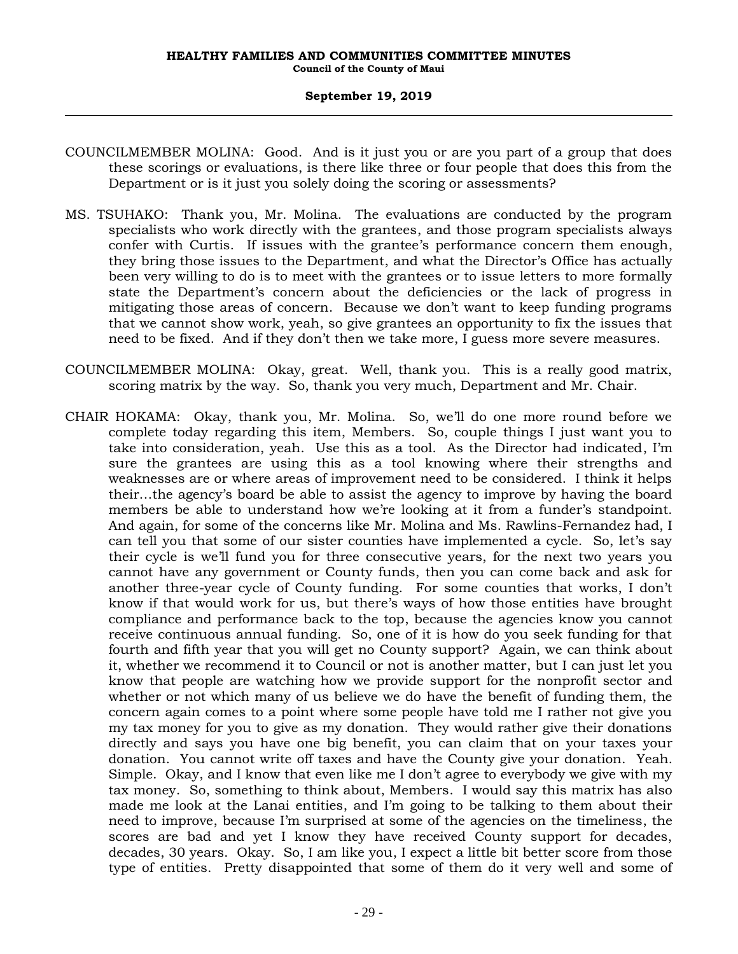- COUNCILMEMBER MOLINA: Good. And is it just you or are you part of a group that does these scorings or evaluations, is there like three or four people that does this from the Department or is it just you solely doing the scoring or assessments?
- MS. TSUHAKO: Thank you, Mr. Molina. The evaluations are conducted by the program specialists who work directly with the grantees, and those program specialists always confer with Curtis. If issues with the grantee's performance concern them enough, they bring those issues to the Department, and what the Director's Office has actually been very willing to do is to meet with the grantees or to issue letters to more formally state the Department's concern about the deficiencies or the lack of progress in mitigating those areas of concern. Because we don't want to keep funding programs that we cannot show work, yeah, so give grantees an opportunity to fix the issues that need to be fixed. And if they don't then we take more, I guess more severe measures.
- COUNCILMEMBER MOLINA: Okay, great. Well, thank you. This is a really good matrix, scoring matrix by the way. So, thank you very much, Department and Mr. Chair.
- CHAIR HOKAMA: Okay, thank you, Mr. Molina. So, we'll do one more round before we complete today regarding this item, Members. So, couple things I just want you to take into consideration, yeah. Use this as a tool. As the Director had indicated, I'm sure the grantees are using this as a tool knowing where their strengths and weaknesses are or where areas of improvement need to be considered. I think it helps their…the agency's board be able to assist the agency to improve by having the board members be able to understand how we're looking at it from a funder's standpoint. And again, for some of the concerns like Mr. Molina and Ms. Rawlins-Fernandez had, I can tell you that some of our sister counties have implemented a cycle. So, let's say their cycle is we'll fund you for three consecutive years, for the next two years you cannot have any government or County funds, then you can come back and ask for another three-year cycle of County funding. For some counties that works, I don't know if that would work for us, but there's ways of how those entities have brought compliance and performance back to the top, because the agencies know you cannot receive continuous annual funding. So, one of it is how do you seek funding for that fourth and fifth year that you will get no County support? Again, we can think about it, whether we recommend it to Council or not is another matter, but I can just let you know that people are watching how we provide support for the nonprofit sector and whether or not which many of us believe we do have the benefit of funding them, the concern again comes to a point where some people have told me I rather not give you my tax money for you to give as my donation. They would rather give their donations directly and says you have one big benefit, you can claim that on your taxes your donation. You cannot write off taxes and have the County give your donation. Yeah. Simple. Okay, and I know that even like me I don't agree to everybody we give with my tax money. So, something to think about, Members. I would say this matrix has also made me look at the Lanai entities, and I'm going to be talking to them about their need to improve, because I'm surprised at some of the agencies on the timeliness, the scores are bad and yet I know they have received County support for decades, decades, 30 years. Okay. So, I am like you, I expect a little bit better score from those type of entities. Pretty disappointed that some of them do it very well and some of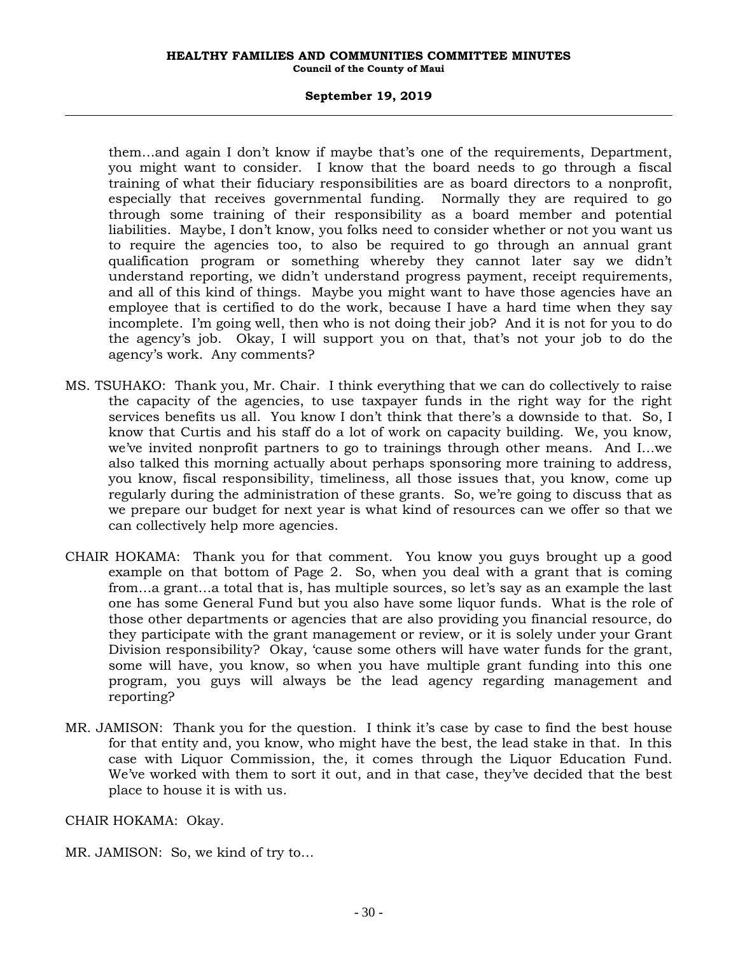#### **September 19, 2019**

them…and again I don't know if maybe that's one of the requirements, Department, you might want to consider. I know that the board needs to go through a fiscal training of what their fiduciary responsibilities are as board directors to a nonprofit, especially that receives governmental funding. Normally they are required to go through some training of their responsibility as a board member and potential liabilities. Maybe, I don't know, you folks need to consider whether or not you want us to require the agencies too, to also be required to go through an annual grant qualification program or something whereby they cannot later say we didn't understand reporting, we didn't understand progress payment, receipt requirements, and all of this kind of things. Maybe you might want to have those agencies have an employee that is certified to do the work, because I have a hard time when they say incomplete. I'm going well, then who is not doing their job? And it is not for you to do the agency's job. Okay, I will support you on that, that's not your job to do the agency's work. Any comments?

- MS. TSUHAKO: Thank you, Mr. Chair. I think everything that we can do collectively to raise the capacity of the agencies, to use taxpayer funds in the right way for the right services benefits us all. You know I don't think that there's a downside to that. So, I know that Curtis and his staff do a lot of work on capacity building. We, you know, we've invited nonprofit partners to go to trainings through other means. And I…we also talked this morning actually about perhaps sponsoring more training to address, you know, fiscal responsibility, timeliness, all those issues that, you know, come up regularly during the administration of these grants. So, we're going to discuss that as we prepare our budget for next year is what kind of resources can we offer so that we can collectively help more agencies.
- CHAIR HOKAMA: Thank you for that comment. You know you guys brought up a good example on that bottom of Page 2. So, when you deal with a grant that is coming from…a grant…a total that is, has multiple sources, so let's say as an example the last one has some General Fund but you also have some liquor funds. What is the role of those other departments or agencies that are also providing you financial resource, do they participate with the grant management or review, or it is solely under your Grant Division responsibility? Okay, 'cause some others will have water funds for the grant, some will have, you know, so when you have multiple grant funding into this one program, you guys will always be the lead agency regarding management and reporting?
- MR. JAMISON: Thank you for the question. I think it's case by case to find the best house for that entity and, you know, who might have the best, the lead stake in that. In this case with Liquor Commission, the, it comes through the Liquor Education Fund. We've worked with them to sort it out, and in that case, they've decided that the best place to house it is with us.

CHAIR HOKAMA: Okay.

MR. JAMISON: So, we kind of try to…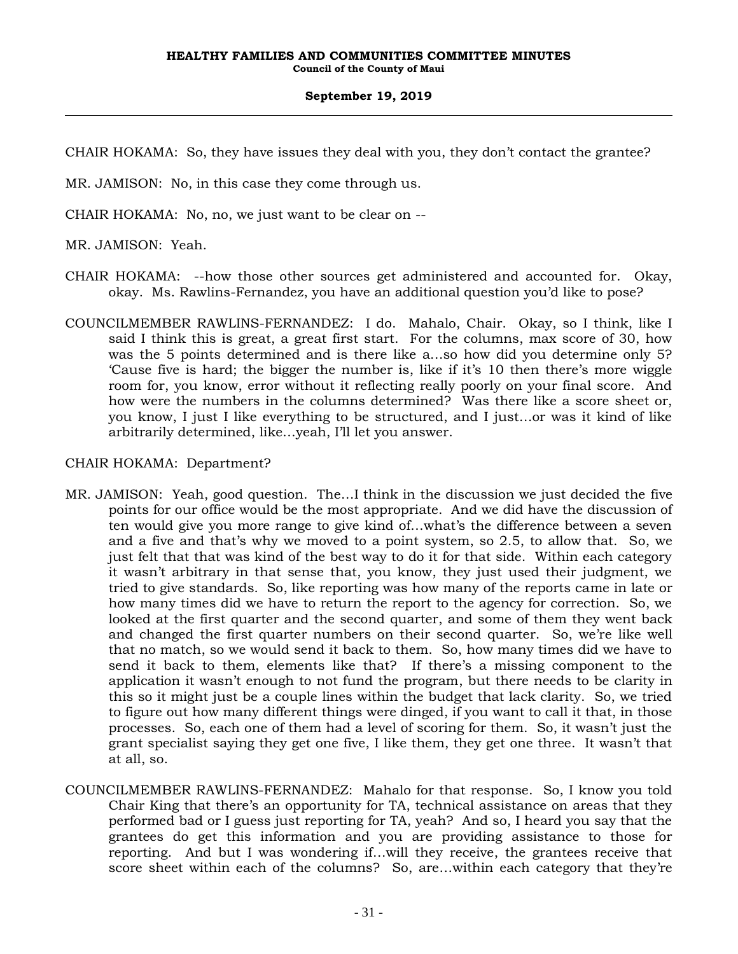CHAIR HOKAMA: So, they have issues they deal with you, they don't contact the grantee?

MR. JAMISON: No, in this case they come through us.

CHAIR HOKAMA: No, no, we just want to be clear on --

MR. JAMISON: Yeah.

- CHAIR HOKAMA: --how those other sources get administered and accounted for. Okay, okay. Ms. Rawlins-Fernandez, you have an additional question you'd like to pose?
- COUNCILMEMBER RAWLINS-FERNANDEZ: I do. Mahalo, Chair. Okay, so I think, like I said I think this is great, a great first start. For the columns, max score of 30, how was the 5 points determined and is there like a…so how did you determine only 5? 'Cause five is hard; the bigger the number is, like if it's 10 then there's more wiggle room for, you know, error without it reflecting really poorly on your final score. And how were the numbers in the columns determined? Was there like a score sheet or, you know, I just I like everything to be structured, and I just…or was it kind of like arbitrarily determined, like…yeah, I'll let you answer.

### CHAIR HOKAMA: Department?

- MR. JAMISON: Yeah, good question. The…I think in the discussion we just decided the five points for our office would be the most appropriate. And we did have the discussion of ten would give you more range to give kind of…what's the difference between a seven and a five and that's why we moved to a point system, so 2.5, to allow that. So, we just felt that that was kind of the best way to do it for that side. Within each category it wasn't arbitrary in that sense that, you know, they just used their judgment, we tried to give standards. So, like reporting was how many of the reports came in late or how many times did we have to return the report to the agency for correction. So, we looked at the first quarter and the second quarter, and some of them they went back and changed the first quarter numbers on their second quarter. So, we're like well that no match, so we would send it back to them. So, how many times did we have to send it back to them, elements like that? If there's a missing component to the application it wasn't enough to not fund the program, but there needs to be clarity in this so it might just be a couple lines within the budget that lack clarity. So, we tried to figure out how many different things were dinged, if you want to call it that, in those processes. So, each one of them had a level of scoring for them. So, it wasn't just the grant specialist saying they get one five, I like them, they get one three. It wasn't that at all, so.
- COUNCILMEMBER RAWLINS-FERNANDEZ: Mahalo for that response. So, I know you told Chair King that there's an opportunity for TA, technical assistance on areas that they performed bad or I guess just reporting for TA, yeah? And so, I heard you say that the grantees do get this information and you are providing assistance to those for reporting. And but I was wondering if…will they receive, the grantees receive that score sheet within each of the columns? So, are…within each category that they're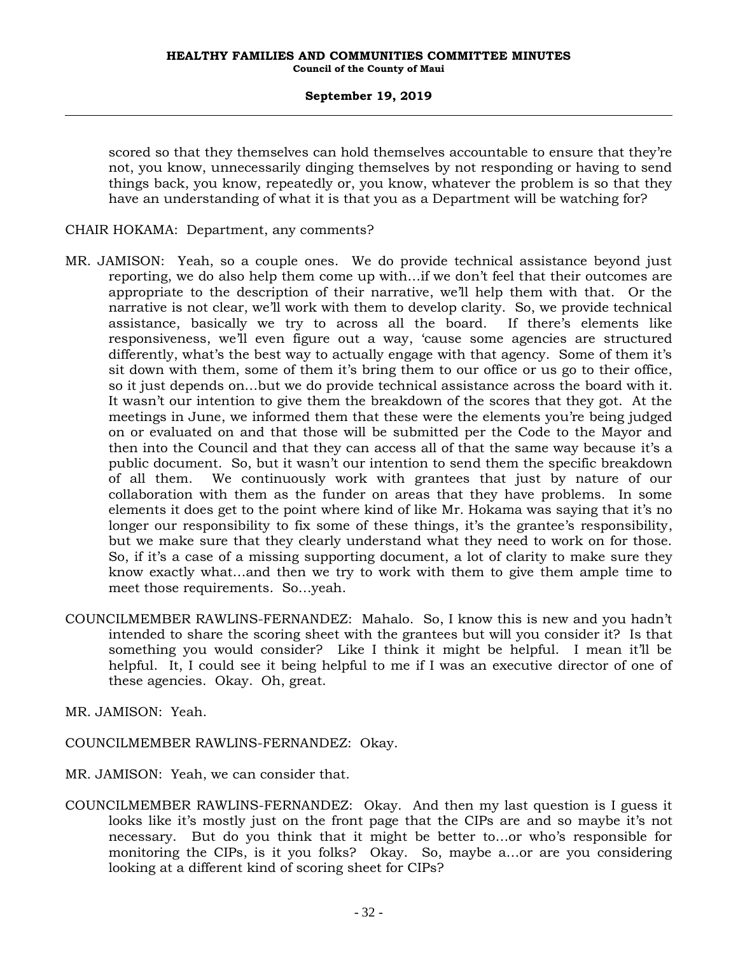scored so that they themselves can hold themselves accountable to ensure that they're not, you know, unnecessarily dinging themselves by not responding or having to send things back, you know, repeatedly or, you know, whatever the problem is so that they have an understanding of what it is that you as a Department will be watching for?

#### CHAIR HOKAMA: Department, any comments?

- MR. JAMISON: Yeah, so a couple ones. We do provide technical assistance beyond just reporting, we do also help them come up with…if we don't feel that their outcomes are appropriate to the description of their narrative, we'll help them with that. Or the narrative is not clear, we'll work with them to develop clarity. So, we provide technical assistance, basically we try to across all the board. If there's elements like responsiveness, we'll even figure out a way, 'cause some agencies are structured differently, what's the best way to actually engage with that agency. Some of them it's sit down with them, some of them it's bring them to our office or us go to their office, so it just depends on…but we do provide technical assistance across the board with it. It wasn't our intention to give them the breakdown of the scores that they got. At the meetings in June, we informed them that these were the elements you're being judged on or evaluated on and that those will be submitted per the Code to the Mayor and then into the Council and that they can access all of that the same way because it's a public document. So, but it wasn't our intention to send them the specific breakdown of all them. We continuously work with grantees that just by nature of our collaboration with them as the funder on areas that they have problems. In some elements it does get to the point where kind of like Mr. Hokama was saying that it's no longer our responsibility to fix some of these things, it's the grantee's responsibility, but we make sure that they clearly understand what they need to work on for those. So, if it's a case of a missing supporting document, a lot of clarity to make sure they know exactly what…and then we try to work with them to give them ample time to meet those requirements. So…yeah.
- COUNCILMEMBER RAWLINS-FERNANDEZ: Mahalo. So, I know this is new and you hadn't intended to share the scoring sheet with the grantees but will you consider it? Is that something you would consider? Like I think it might be helpful. I mean it'll be helpful. It, I could see it being helpful to me if I was an executive director of one of these agencies. Okay. Oh, great.
- MR. JAMISON: Yeah.
- COUNCILMEMBER RAWLINS-FERNANDEZ: Okay.
- MR. JAMISON: Yeah, we can consider that.
- COUNCILMEMBER RAWLINS-FERNANDEZ: Okay. And then my last question is I guess it looks like it's mostly just on the front page that the CIPs are and so maybe it's not necessary. But do you think that it might be better to…or who's responsible for monitoring the CIPs, is it you folks? Okay. So, maybe a…or are you considering looking at a different kind of scoring sheet for CIPs?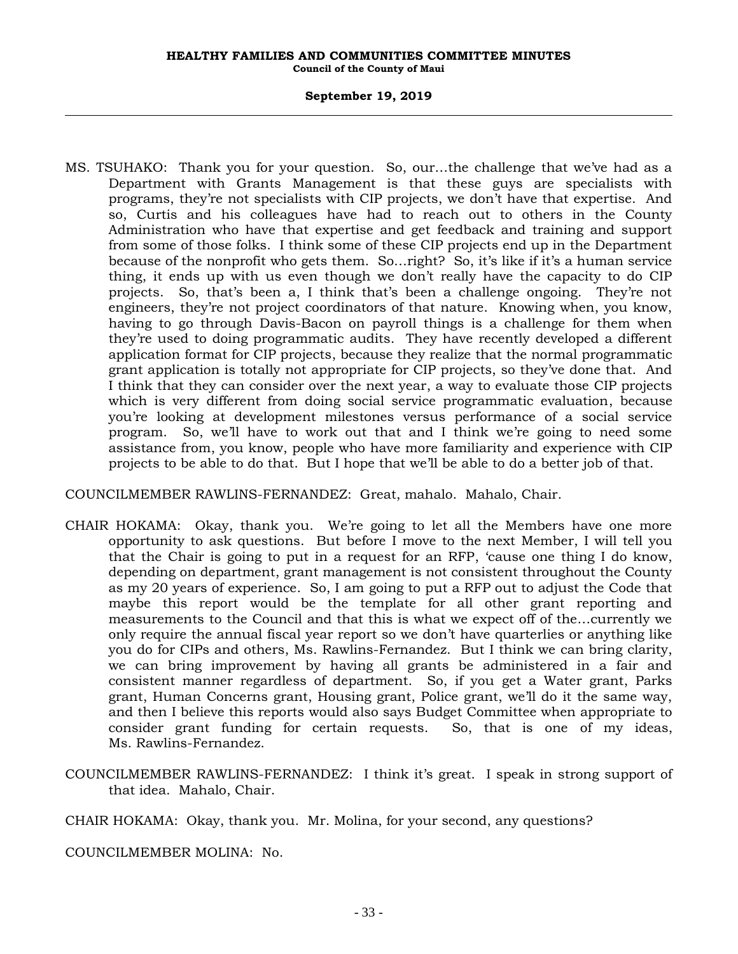#### **September 19, 2019**

MS. TSUHAKO: Thank you for your question. So, our…the challenge that we've had as a Department with Grants Management is that these guys are specialists with programs, they're not specialists with CIP projects, we don't have that expertise. And so, Curtis and his colleagues have had to reach out to others in the County Administration who have that expertise and get feedback and training and support from some of those folks. I think some of these CIP projects end up in the Department because of the nonprofit who gets them. So…right? So, it's like if it's a human service thing, it ends up with us even though we don't really have the capacity to do CIP projects. So, that's been a, I think that's been a challenge ongoing. They're not engineers, they're not project coordinators of that nature. Knowing when, you know, having to go through Davis-Bacon on payroll things is a challenge for them when they're used to doing programmatic audits. They have recently developed a different application format for CIP projects, because they realize that the normal programmatic grant application is totally not appropriate for CIP projects, so they've done that. And I think that they can consider over the next year, a way to evaluate those CIP projects which is very different from doing social service programmatic evaluation, because you're looking at development milestones versus performance of a social service program. So, we'll have to work out that and I think we're going to need some assistance from, you know, people who have more familiarity and experience with CIP projects to be able to do that. But I hope that we'll be able to do a better job of that.

COUNCILMEMBER RAWLINS-FERNANDEZ: Great, mahalo. Mahalo, Chair.

- CHAIR HOKAMA: Okay, thank you. We're going to let all the Members have one more opportunity to ask questions. But before I move to the next Member, I will tell you that the Chair is going to put in a request for an RFP, 'cause one thing I do know, depending on department, grant management is not consistent throughout the County as my 20 years of experience. So, I am going to put a RFP out to adjust the Code that maybe this report would be the template for all other grant reporting and measurements to the Council and that this is what we expect off of the…currently we only require the annual fiscal year report so we don't have quarterlies or anything like you do for CIPs and others, Ms. Rawlins-Fernandez. But I think we can bring clarity, we can bring improvement by having all grants be administered in a fair and consistent manner regardless of department. So, if you get a Water grant, Parks grant, Human Concerns grant, Housing grant, Police grant, we'll do it the same way, and then I believe this reports would also says Budget Committee when appropriate to consider grant funding for certain requests. So, that is one of my ideas, Ms. Rawlins-Fernandez.
- COUNCILMEMBER RAWLINS-FERNANDEZ: I think it's great. I speak in strong support of that idea. Mahalo, Chair.

CHAIR HOKAMA: Okay, thank you. Mr. Molina, for your second, any questions?

COUNCILMEMBER MOLINA: No.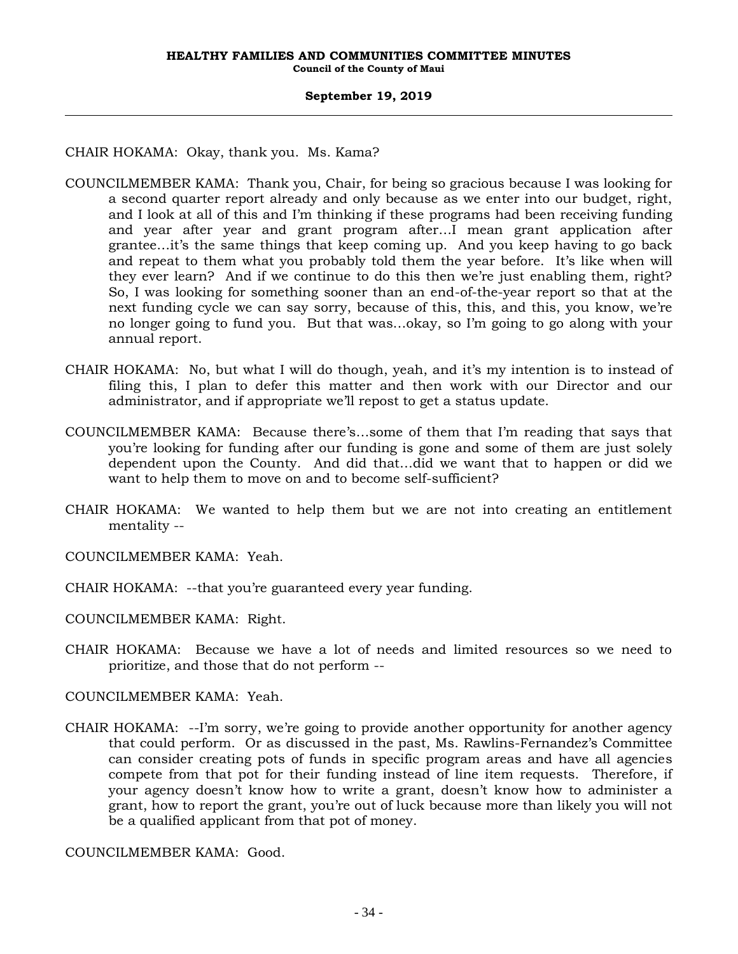CHAIR HOKAMA: Okay, thank you. Ms. Kama?

- COUNCILMEMBER KAMA: Thank you, Chair, for being so gracious because I was looking for a second quarter report already and only because as we enter into our budget, right, and I look at all of this and I'm thinking if these programs had been receiving funding and year after year and grant program after…I mean grant application after grantee…it's the same things that keep coming up. And you keep having to go back and repeat to them what you probably told them the year before. It's like when will they ever learn? And if we continue to do this then we're just enabling them, right? So, I was looking for something sooner than an end-of-the-year report so that at the next funding cycle we can say sorry, because of this, this, and this, you know, we're no longer going to fund you. But that was…okay, so I'm going to go along with your annual report.
- CHAIR HOKAMA: No, but what I will do though, yeah, and it's my intention is to instead of filing this, I plan to defer this matter and then work with our Director and our administrator, and if appropriate we'll repost to get a status update.
- COUNCILMEMBER KAMA: Because there's…some of them that I'm reading that says that you're looking for funding after our funding is gone and some of them are just solely dependent upon the County. And did that…did we want that to happen or did we want to help them to move on and to become self-sufficient?
- CHAIR HOKAMA: We wanted to help them but we are not into creating an entitlement mentality --

COUNCILMEMBER KAMA: Yeah.

- CHAIR HOKAMA: --that you're guaranteed every year funding.
- COUNCILMEMBER KAMA: Right.
- CHAIR HOKAMA: Because we have a lot of needs and limited resources so we need to prioritize, and those that do not perform --

COUNCILMEMBER KAMA: Yeah.

CHAIR HOKAMA: --I'm sorry, we're going to provide another opportunity for another agency that could perform. Or as discussed in the past, Ms. Rawlins-Fernandez's Committee can consider creating pots of funds in specific program areas and have all agencies compete from that pot for their funding instead of line item requests. Therefore, if your agency doesn't know how to write a grant, doesn't know how to administer a grant, how to report the grant, you're out of luck because more than likely you will not be a qualified applicant from that pot of money.

COUNCILMEMBER KAMA: Good.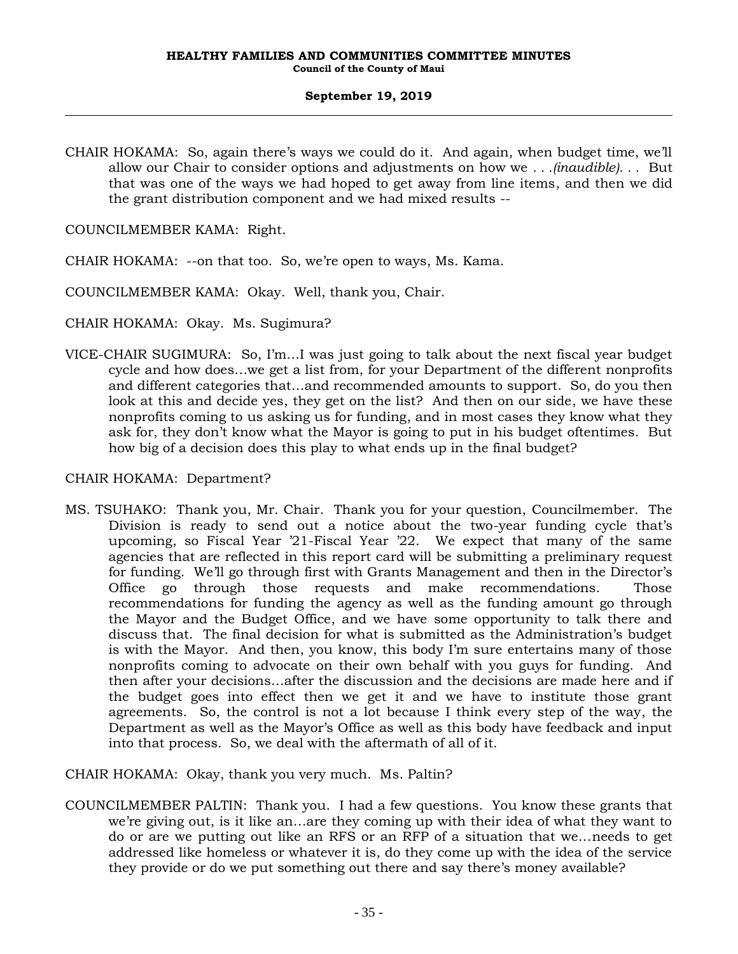CHAIR HOKAMA: So, again there's ways we could do it. And again, when budget time, we'll allow our Chair to consider options and adjustments on how we *. . .(inaudible). . .* But that was one of the ways we had hoped to get away from line items, and then we did the grant distribution component and we had mixed results --

COUNCILMEMBER KAMA: Right.

CHAIR HOKAMA: --on that too. So, we're open to ways, Ms. Kama.

COUNCILMEMBER KAMA: Okay. Well, thank you, Chair.

CHAIR HOKAMA: Okay. Ms. Sugimura?

VICE-CHAIR SUGIMURA: So, I'm…I was just going to talk about the next fiscal year budget cycle and how does…we get a list from, for your Department of the different nonprofits and different categories that…and recommended amounts to support. So, do you then look at this and decide yes, they get on the list? And then on our side, we have these nonprofits coming to us asking us for funding, and in most cases they know what they ask for, they don't know what the Mayor is going to put in his budget oftentimes. But how big of a decision does this play to what ends up in the final budget?

#### CHAIR HOKAMA: Department?

MS. TSUHAKO: Thank you, Mr. Chair. Thank you for your question, Councilmember. The Division is ready to send out a notice about the two-year funding cycle that's upcoming, so Fiscal Year '21-Fiscal Year '22. We expect that many of the same agencies that are reflected in this report card will be submitting a preliminary request for funding. We'll go through first with Grants Management and then in the Director's Office go through those requests and make recommendations. Those recommendations for funding the agency as well as the funding amount go through the Mayor and the Budget Office, and we have some opportunity to talk there and discuss that. The final decision for what is submitted as the Administration's budget is with the Mayor. And then, you know, this body I'm sure entertains many of those nonprofits coming to advocate on their own behalf with you guys for funding. And then after your decisions…after the discussion and the decisions are made here and if the budget goes into effect then we get it and we have to institute those grant agreements. So, the control is not a lot because I think every step of the way, the Department as well as the Mayor's Office as well as this body have feedback and input into that process. So, we deal with the aftermath of all of it.

CHAIR HOKAMA: Okay, thank you very much. Ms. Paltin?

COUNCILMEMBER PALTIN: Thank you. I had a few questions. You know these grants that we're giving out, is it like an…are they coming up with their idea of what they want to do or are we putting out like an RFS or an RFP of a situation that we…needs to get addressed like homeless or whatever it is, do they come up with the idea of the service they provide or do we put something out there and say there's money available?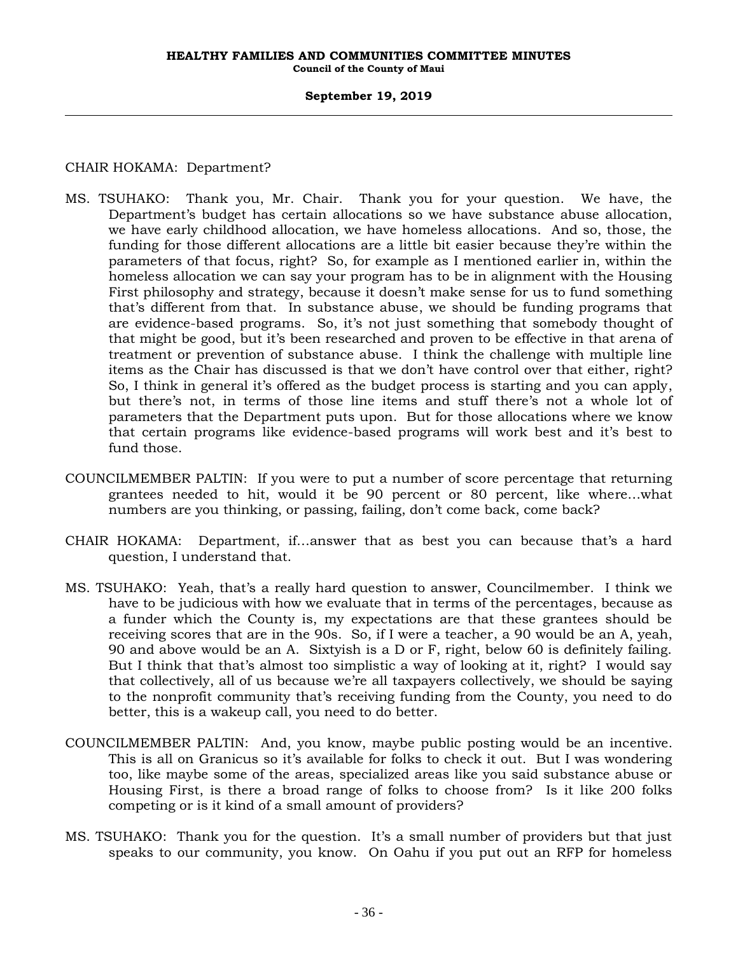#### **September 19, 2019**

### CHAIR HOKAMA: Department?

- MS. TSUHAKO: Thank you, Mr. Chair. Thank you for your question. We have, the Department's budget has certain allocations so we have substance abuse allocation, we have early childhood allocation, we have homeless allocations. And so, those, the funding for those different allocations are a little bit easier because they're within the parameters of that focus, right? So, for example as I mentioned earlier in, within the homeless allocation we can say your program has to be in alignment with the Housing First philosophy and strategy, because it doesn't make sense for us to fund something that's different from that. In substance abuse, we should be funding programs that are evidence-based programs. So, it's not just something that somebody thought of that might be good, but it's been researched and proven to be effective in that arena of treatment or prevention of substance abuse. I think the challenge with multiple line items as the Chair has discussed is that we don't have control over that either, right? So, I think in general it's offered as the budget process is starting and you can apply, but there's not, in terms of those line items and stuff there's not a whole lot of parameters that the Department puts upon. But for those allocations where we know that certain programs like evidence-based programs will work best and it's best to fund those.
- COUNCILMEMBER PALTIN: If you were to put a number of score percentage that returning grantees needed to hit, would it be 90 percent or 80 percent, like where…what numbers are you thinking, or passing, failing, don't come back, come back?
- CHAIR HOKAMA: Department, if…answer that as best you can because that's a hard question, I understand that.
- MS. TSUHAKO: Yeah, that's a really hard question to answer, Councilmember. I think we have to be judicious with how we evaluate that in terms of the percentages, because as a funder which the County is, my expectations are that these grantees should be receiving scores that are in the 90s. So, if I were a teacher, a 90 would be an A, yeah, 90 and above would be an A. Sixtyish is a D or F, right, below 60 is definitely failing. But I think that that's almost too simplistic a way of looking at it, right? I would say that collectively, all of us because we're all taxpayers collectively, we should be saying to the nonprofit community that's receiving funding from the County, you need to do better, this is a wakeup call, you need to do better.
- COUNCILMEMBER PALTIN: And, you know, maybe public posting would be an incentive. This is all on Granicus so it's available for folks to check it out. But I was wondering too, like maybe some of the areas, specialized areas like you said substance abuse or Housing First, is there a broad range of folks to choose from? Is it like 200 folks competing or is it kind of a small amount of providers?
- MS. TSUHAKO: Thank you for the question. It's a small number of providers but that just speaks to our community, you know. On Oahu if you put out an RFP for homeless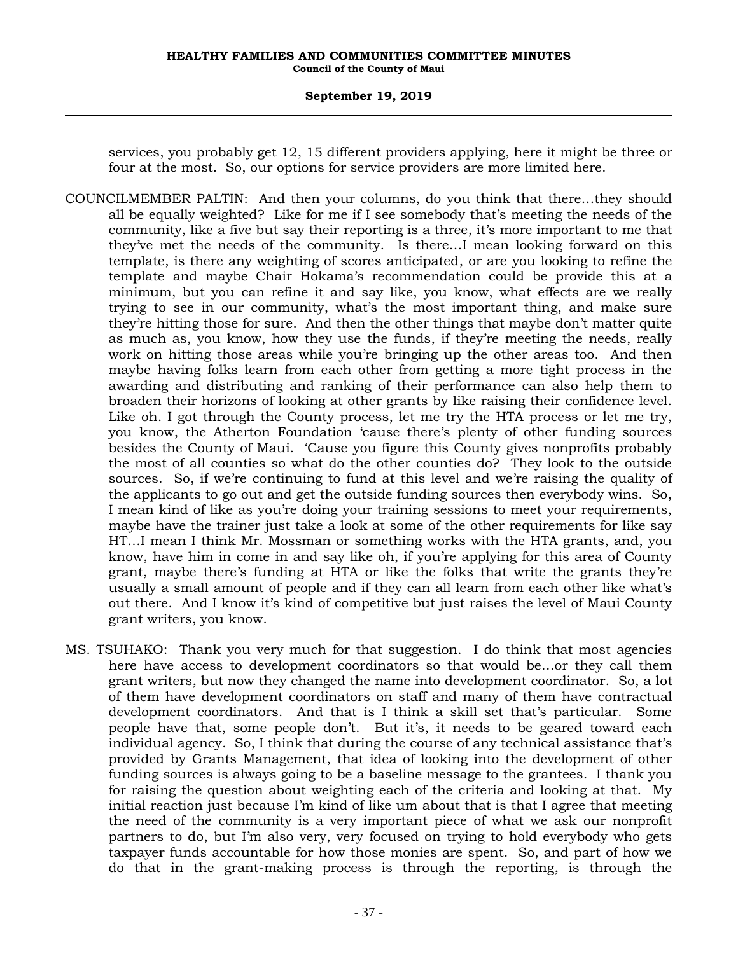services, you probably get 12, 15 different providers applying, here it might be three or four at the most. So, our options for service providers are more limited here.

- COUNCILMEMBER PALTIN: And then your columns, do you think that there…they should all be equally weighted? Like for me if I see somebody that's meeting the needs of the community, like a five but say their reporting is a three, it's more important to me that they've met the needs of the community. Is there…I mean looking forward on this template, is there any weighting of scores anticipated, or are you looking to refine the template and maybe Chair Hokama's recommendation could be provide this at a minimum, but you can refine it and say like, you know, what effects are we really trying to see in our community, what's the most important thing, and make sure they're hitting those for sure. And then the other things that maybe don't matter quite as much as, you know, how they use the funds, if they're meeting the needs, really work on hitting those areas while you're bringing up the other areas too. And then maybe having folks learn from each other from getting a more tight process in the awarding and distributing and ranking of their performance can also help them to broaden their horizons of looking at other grants by like raising their confidence level. Like oh. I got through the County process, let me try the HTA process or let me try, you know, the Atherton Foundation 'cause there's plenty of other funding sources besides the County of Maui. 'Cause you figure this County gives nonprofits probably the most of all counties so what do the other counties do? They look to the outside sources. So, if we're continuing to fund at this level and we're raising the quality of the applicants to go out and get the outside funding sources then everybody wins. So, I mean kind of like as you're doing your training sessions to meet your requirements, maybe have the trainer just take a look at some of the other requirements for like say HT…I mean I think Mr. Mossman or something works with the HTA grants, and, you know, have him in come in and say like oh, if you're applying for this area of County grant, maybe there's funding at HTA or like the folks that write the grants they're usually a small amount of people and if they can all learn from each other like what's out there. And I know it's kind of competitive but just raises the level of Maui County grant writers, you know.
- MS. TSUHAKO: Thank you very much for that suggestion. I do think that most agencies here have access to development coordinators so that would be…or they call them grant writers, but now they changed the name into development coordinator. So, a lot of them have development coordinators on staff and many of them have contractual development coordinators. And that is I think a skill set that's particular. Some people have that, some people don't. But it's, it needs to be geared toward each individual agency. So, I think that during the course of any technical assistance that's provided by Grants Management, that idea of looking into the development of other funding sources is always going to be a baseline message to the grantees. I thank you for raising the question about weighting each of the criteria and looking at that. My initial reaction just because I'm kind of like um about that is that I agree that meeting the need of the community is a very important piece of what we ask our nonprofit partners to do, but I'm also very, very focused on trying to hold everybody who gets taxpayer funds accountable for how those monies are spent. So, and part of how we do that in the grant-making process is through the reporting, is through the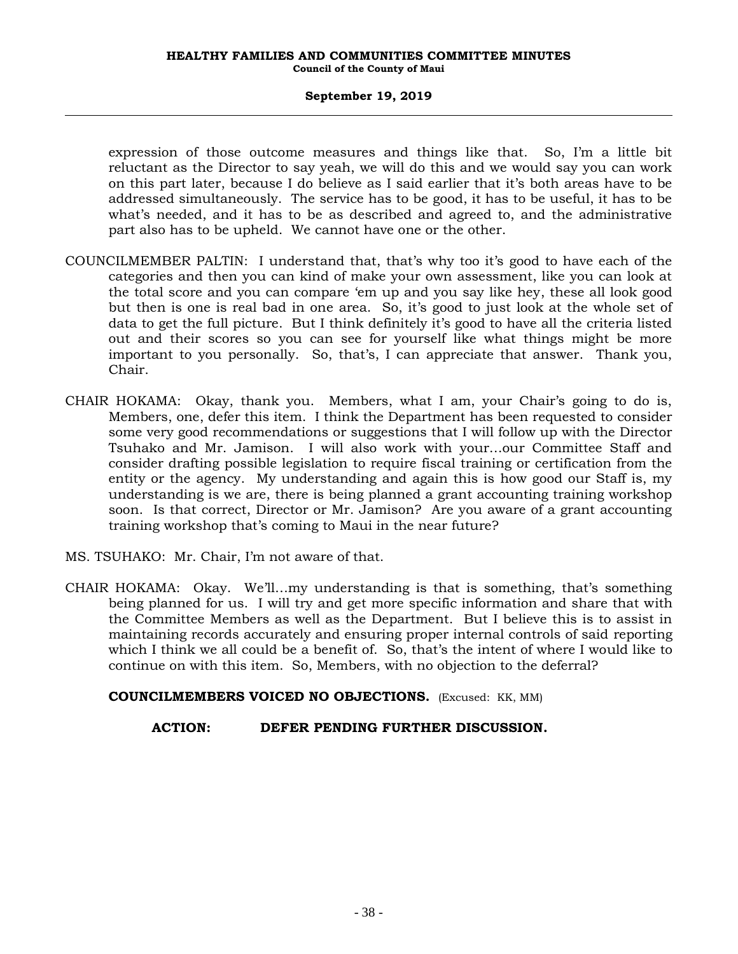expression of those outcome measures and things like that. So, I'm a little bit reluctant as the Director to say yeah, we will do this and we would say you can work on this part later, because I do believe as I said earlier that it's both areas have to be addressed simultaneously. The service has to be good, it has to be useful, it has to be what's needed, and it has to be as described and agreed to, and the administrative part also has to be upheld. We cannot have one or the other.

- COUNCILMEMBER PALTIN: I understand that, that's why too it's good to have each of the categories and then you can kind of make your own assessment, like you can look at the total score and you can compare 'em up and you say like hey, these all look good but then is one is real bad in one area. So, it's good to just look at the whole set of data to get the full picture. But I think definitely it's good to have all the criteria listed out and their scores so you can see for yourself like what things might be more important to you personally. So, that's, I can appreciate that answer. Thank you, Chair.
- CHAIR HOKAMA: Okay, thank you. Members, what I am, your Chair's going to do is, Members, one, defer this item. I think the Department has been requested to consider some very good recommendations or suggestions that I will follow up with the Director Tsuhako and Mr. Jamison. I will also work with your…our Committee Staff and consider drafting possible legislation to require fiscal training or certification from the entity or the agency. My understanding and again this is how good our Staff is, my understanding is we are, there is being planned a grant accounting training workshop soon. Is that correct, Director or Mr. Jamison? Are you aware of a grant accounting training workshop that's coming to Maui in the near future?
- MS. TSUHAKO: Mr. Chair, I'm not aware of that.
- CHAIR HOKAMA: Okay. We'll…my understanding is that is something, that's something being planned for us. I will try and get more specific information and share that with the Committee Members as well as the Department. But I believe this is to assist in maintaining records accurately and ensuring proper internal controls of said reporting which I think we all could be a benefit of. So, that's the intent of where I would like to continue on with this item. So, Members, with no objection to the deferral?

**COUNCILMEMBERS VOICED NO OBJECTIONS.** (Excused: KK, MM)

# **ACTION: DEFER PENDING FURTHER DISCUSSION.**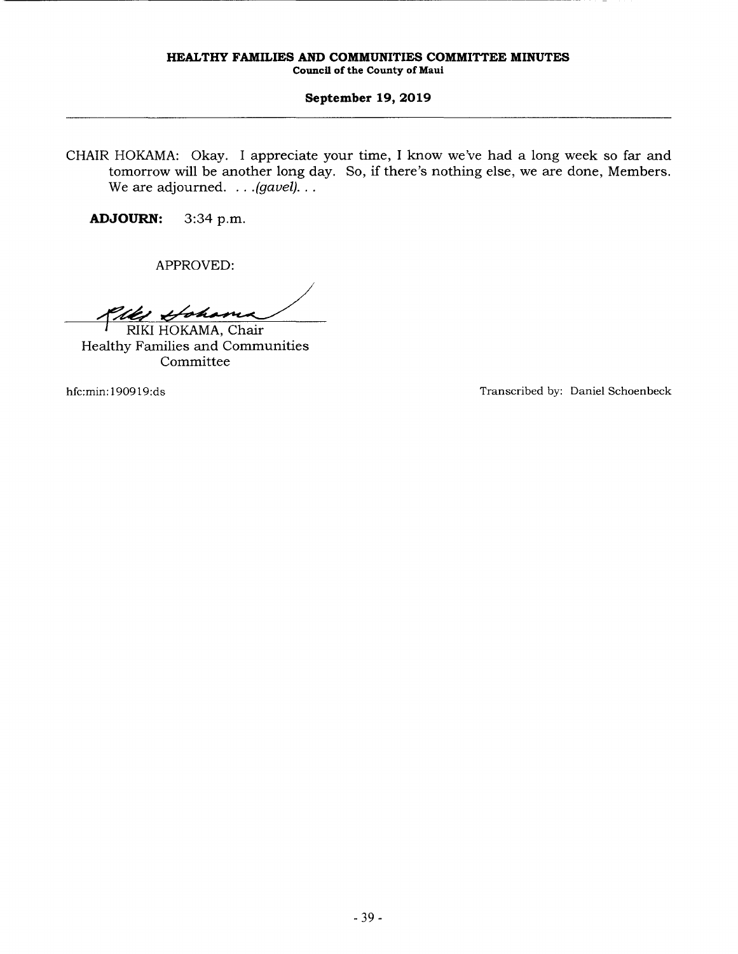CHAIR HOKAMA: Okay. I appreciate your time, I know we've had a long week so far and tomorrow will be another long day. So, if there's nothing else, we are done, Members. We are adjourned. . . *. (gavel)* . . .

**ADJOURN:** 3:34 p.m.

APPROVED:

Plan Hoham PPROVED:<br> *Johan*<br>
HOKAMA, Chair

Healthy Families and Communities Committee

hfc:min: 190919:ds Transcribed by: Daniel Schoenbeck